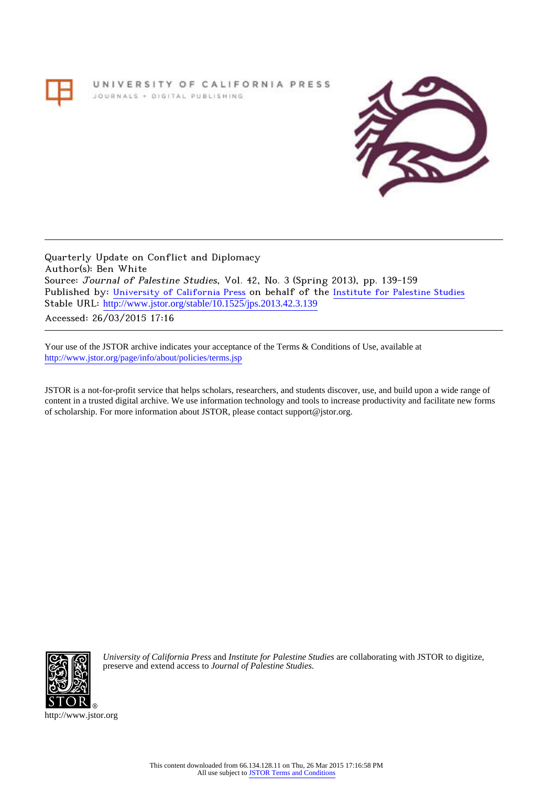# UNIVERSITY OF CALIFORNIA PRESS JOURNALS + DIGITAL PUBLISHING



Quarterly Update on Conflict and Diplomacy Author(s): Ben White Source: Journal of Palestine Studies, Vol. 42, No. 3 (Spring 2013), pp. 139-159 Published by: [University of California Press](http://www.jstor.org/action/showPublisher?publisherCode=ucal) on behalf of the [Institute for Palestine Studies](http://www.jstor.org/action/showPublisher?publisherCode=palstud) Stable URL: [http://www.jstor.org/stable/10.1525/jps.2013.42.3.139](http://www.jstor.org/stable/10.1525/jps.2013.42.3.139?origin=JSTOR-pdf) .

Accessed: 26/03/2015 17:16

Your use of the JSTOR archive indicates your acceptance of the Terms & Conditions of Use, available at <http://www.jstor.org/page/info/about/policies/terms.jsp>

JSTOR is a not-for-profit service that helps scholars, researchers, and students discover, use, and build upon a wide range of content in a trusted digital archive. We use information technology and tools to increase productivity and facilitate new forms of scholarship. For more information about JSTOR, please contact support@jstor.org.



*University of California Press* and *Institute for Palestine Studies* are collaborating with JSTOR to digitize, preserve and extend access to *Journal of Palestine Studies.*

http://www.jstor.org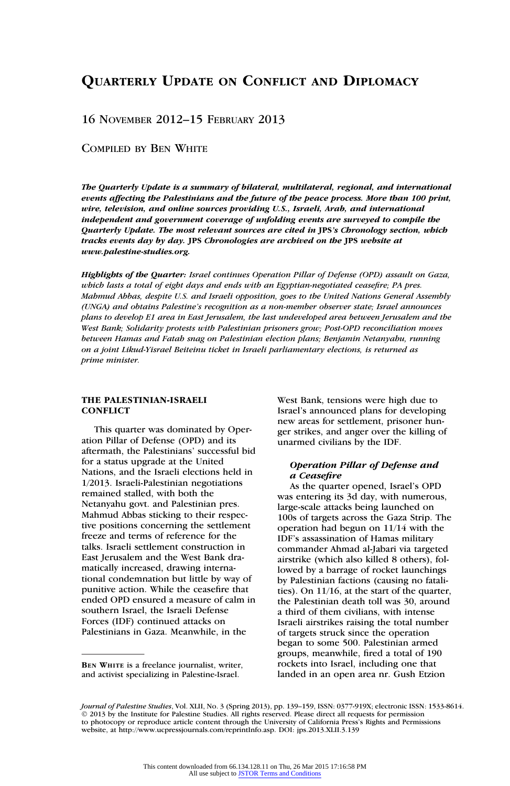# QUARTERLY UPDATE ON CONFLICT AND DIPLOMACY

# 16 NOVEMBER 2012–15 FEBRUARY 2013

# COMPILED BY BEN WHITE

The Quarterly Update is a summary of bilateral, multilateral, regional, and international events affecting the Palestinians and the future of the peace process. More than 100 print, wire, television, and online sources providing U.S., Israeli, Arab, and international independent and government coverage of unfolding events are surveyed to compile the Quarterly Update. The most relevant sources are cited in JPS's Chronology section, which tracks events day by day. JPS Chronologies are archived on the JPS website at www.palestine-studies.org.

Highlights of the Quarter: Israel continues Operation Pillar of Defense (OPD) assault on Gaza, which lasts a total of eight days and ends with an Egyptian-negotiated ceasefire; PA pres. Mahmud Abbas, despite U.S. and Israeli opposition, goes to the United Nations General Assembly (UNGA) and obtains Palestine's recognition as a non-member observer state; Israel announces plans to develop E1 area in East Jerusalem, the last undeveloped area between Jerusalem and the West Bank; Solidarity protests with Palestinian prisoners grow; Post-OPD reconciliation moves between Hamas and Fatah snag on Palestinian election plans; Benjamin Netanyahu, running on a joint Likud-Yisrael Beiteinu ticket in Israeli parliamentary elections, is returned as prime minister.

# THE PALESTINIAN-ISRAELI **CONFLICT**

This quarter was dominated by Operation Pillar of Defense (OPD) and its aftermath, the Palestinians' successful bid for a status upgrade at the United Nations, and the Israeli elections held in 1/2013. Israeli-Palestinian negotiations remained stalled, with both the Netanyahu govt. and Palestinian pres. Mahmud Abbas sticking to their respective positions concerning the settlement freeze and terms of reference for the talks. Israeli settlement construction in East Jerusalem and the West Bank dramatically increased, drawing international condemnation but little by way of punitive action. While the ceasefire that ended OPD ensured a measure of calm in southern Israel, the Israeli Defense Forces (IDF) continued attacks on Palestinians in Gaza. Meanwhile, in the

BEN WHITE is a freelance journalist, writer, and activist specializing in Palestine-Israel.

West Bank, tensions were high due to Israel's announced plans for developing new areas for settlement, prisoner hunger strikes, and anger over the killing of unarmed civilians by the IDF.

# Operation Pillar of Defense and a Ceasefire

As the quarter opened, Israel's OPD was entering its 3d day, with numerous, large-scale attacks being launched on 100s of targets across the Gaza Strip. The operation had begun on 11/14 with the IDF's assassination of Hamas military commander Ahmad al-Jabari via targeted airstrike (which also killed 8 others), followed by a barrage of rocket launchings by Palestinian factions (causing no fatalities). On 11/16, at the start of the quarter, the Palestinian death toll was 30, around a third of them civilians, with intense Israeli airstrikes raising the total number of targets struck since the operation began to some 500. Palestinian armed groups, meanwhile, fired a total of 190 rockets into Israel, including one that landed in an open area nr. Gush Etzion

Jo*urnal of Palestine Studies*, Vol. XLII, No. 3 (Spring 2013), pp. 139–159, ISSN: 0377-919X; electronic ISSN: 1533-8614.<br>© 2013 by the Institute for Palestine Studies. All rights reserved. Please direct all requests for p to photocopy or reproduce article content through the University of California Press's Rights and Permissions website, at http://www.ucpressjournals.com/reprintInfo.asp. DOI: jps.2013.XLII.3.139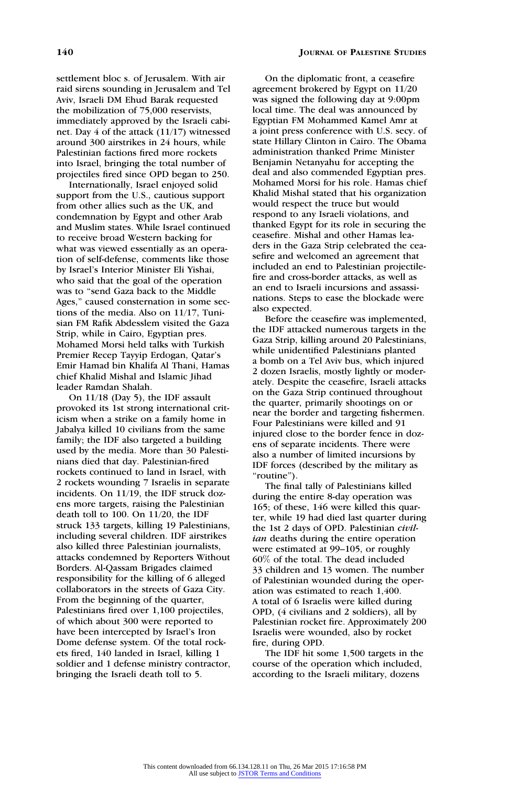settlement bloc s. of Jerusalem. With air raid sirens sounding in Jerusalem and Tel Aviv, Israeli DM Ehud Barak requested the mobilization of 75,000 reservists, immediately approved by the Israeli cabinet. Day 4 of the attack (11/17) witnessed around 300 airstrikes in 24 hours, while Palestinian factions fired more rockets into Israel, bringing the total number of projectiles fired since OPD began to 250.

Internationally, Israel enjoyed solid support from the U.S., cautious support from other allies such as the UK, and condemnation by Egypt and other Arab and Muslim states. While Israel continued to receive broad Western backing for what was viewed essentially as an operation of self-defense, comments like those by Israel's Interior Minister Eli Yishai, who said that the goal of the operation was to ''send Gaza back to the Middle Ages,'' caused consternation in some sections of the media. Also on 11/17, Tunisian FM Rafik Abdesslem visited the Gaza Strip, while in Cairo, Egyptian pres. Mohamed Morsi held talks with Turkish Premier Recep Tayyip Erdogan, Qatar's Emir Hamad bin Khalifa Al Thani, Hamas chief Khalid Mishal and Islamic Jihad leader Ramdan Shalah.

On 11/18 (Day 5), the IDF assault provoked its 1st strong international criticism when a strike on a family home in Jabalya killed 10 civilians from the same family; the IDF also targeted a building used by the media. More than 30 Palestinians died that day. Palestinian-fired rockets continued to land in Israel, with 2 rockets wounding 7 Israelis in separate incidents. On 11/19, the IDF struck dozens more targets, raising the Palestinian death toll to 100. On 11/20, the IDF struck 133 targets, killing 19 Palestinians, including several children. IDF airstrikes also killed three Palestinian journalists, attacks condemned by Reporters Without Borders. Al-Qassam Brigades claimed responsibility for the killing of 6 alleged collaborators in the streets of Gaza City. From the beginning of the quarter, Palestinians fired over 1,100 projectiles, of which about 300 were reported to have been intercepted by Israel's Iron Dome defense system. Of the total rockets fired, 140 landed in Israel, killing 1 soldier and 1 defense ministry contractor, bringing the Israeli death toll to 5.

On the diplomatic front, a ceasefire agreement brokered by Egypt on 11/20 was signed the following day at 9:00pm local time. The deal was announced by Egyptian FM Mohammed Kamel Amr at a joint press conference with U.S. secy. of state Hillary Clinton in Cairo. The Obama administration thanked Prime Minister Benjamin Netanyahu for accepting the deal and also commended Egyptian pres. Mohamed Morsi for his role. Hamas chief Khalid Mishal stated that his organization would respect the truce but would respond to any Israeli violations, and thanked Egypt for its role in securing the ceasefire. Mishal and other Hamas leaders in the Gaza Strip celebrated the ceasefire and welcomed an agreement that included an end to Palestinian projectilefire and cross-border attacks, as well as an end to Israeli incursions and assassinations. Steps to ease the blockade were also expected.

Before the ceasefire was implemented, the IDF attacked numerous targets in the Gaza Strip, killing around 20 Palestinians, while unidentified Palestinians planted a bomb on a Tel Aviv bus, which injured 2 dozen Israelis, mostly lightly or moderately. Despite the ceasefire, Israeli attacks on the Gaza Strip continued throughout the quarter, primarily shootings on or near the border and targeting fishermen. Four Palestinians were killed and 91 injured close to the border fence in dozens of separate incidents. There were also a number of limited incursions by IDF forces (described by the military as "routine").

The final tally of Palestinians killed during the entire 8-day operation was 165; of these, 146 were killed this quarter, while 19 had died last quarter during the 1st 2 days of OPD. Palestinian civilian deaths during the entire operation were estimated at 99–105, or roughly 60% of the total. The dead included 33 children and 13 women. The number of Palestinian wounded during the operation was estimated to reach 1,400. A total of 6 Israelis were killed during OPD, (4 civilians and 2 soldiers), all by Palestinian rocket fire. Approximately 200 Israelis were wounded, also by rocket fire, during OPD.

The IDF hit some 1,500 targets in the course of the operation which included, according to the Israeli military, dozens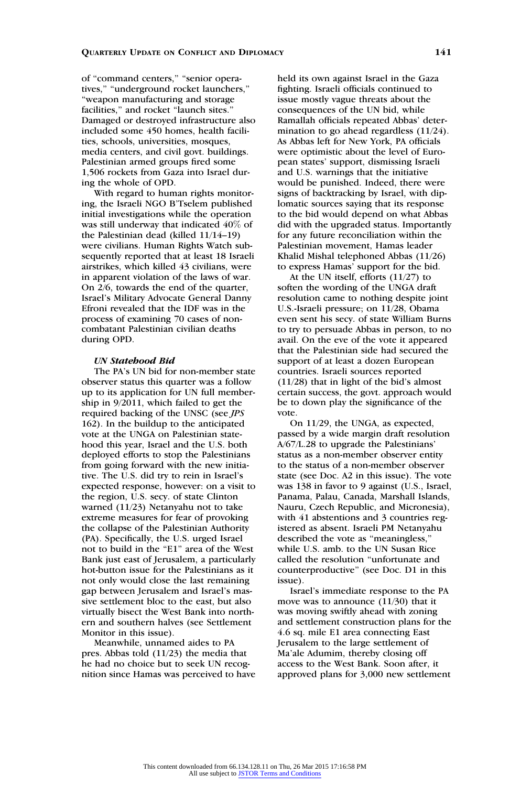of "command centers," "senior operatives,'' ''underground rocket launchers,'' ''weapon manufacturing and storage facilities,'' and rocket ''launch sites.'' Damaged or destroyed infrastructure also included some 450 homes, health facilities, schools, universities, mosques, media centers, and civil govt. buildings. Palestinian armed groups fired some 1,506 rockets from Gaza into Israel during the whole of OPD.

With regard to human rights monitoring, the Israeli NGO B'Tselem published initial investigations while the operation was still underway that indicated 40% of the Palestinian dead (killed 11/14–19) were civilians. Human Rights Watch subsequently reported that at least 18 Israeli airstrikes, which killed 43 civilians, were in apparent violation of the laws of war. On 2/6, towards the end of the quarter, Israel's Military Advocate General Danny Efroni revealed that the IDF was in the process of examining 70 cases of noncombatant Palestinian civilian deaths during OPD.

#### UN Statehood Bid

The PA's UN bid for non-member state observer status this quarter was a follow up to its application for UN full membership in 9/2011, which failed to get the required backing of the UNSC (see JPS 162). In the buildup to the anticipated vote at the UNGA on Palestinian statehood this year, Israel and the U.S. both deployed efforts to stop the Palestinians from going forward with the new initiative. The U.S. did try to rein in Israel's expected response, however: on a visit to the region, U.S. secy. of state Clinton warned (11/23) Netanyahu not to take extreme measures for fear of provoking the collapse of the Palestinian Authority (PA). Specifically, the U.S. urged Israel not to build in the "E1" area of the West Bank just east of Jerusalem, a particularly hot-button issue for the Palestinians as it not only would close the last remaining gap between Jerusalem and Israel's massive settlement bloc to the east, but also virtually bisect the West Bank into northern and southern halves (see Settlement Monitor in this issue).

Meanwhile, unnamed aides to PA pres. Abbas told (11/23) the media that he had no choice but to seek UN recognition since Hamas was perceived to have held its own against Israel in the Gaza fighting. Israeli officials continued to issue mostly vague threats about the consequences of the UN bid, while Ramallah officials repeated Abbas' determination to go ahead regardless (11/24). As Abbas left for New York, PA officials were optimistic about the level of European states' support, dismissing Israeli and U.S. warnings that the initiative would be punished. Indeed, there were signs of backtracking by Israel, with diplomatic sources saying that its response to the bid would depend on what Abbas did with the upgraded status. Importantly for any future reconciliation within the Palestinian movement, Hamas leader Khalid Mishal telephoned Abbas (11/26) to express Hamas' support for the bid.

At the UN itself, efforts (11/27) to soften the wording of the UNGA draft resolution came to nothing despite joint U.S.-Israeli pressure; on 11/28, Obama even sent his secy. of state William Burns to try to persuade Abbas in person, to no avail. On the eve of the vote it appeared that the Palestinian side had secured the support of at least a dozen European countries. Israeli sources reported (11/28) that in light of the bid's almost certain success, the govt. approach would be to down play the significance of the vote.

On 11/29, the UNGA, as expected, passed by a wide margin draft resolution A/67/L.28 to upgrade the Palestinians' status as a non-member observer entity to the status of a non-member observer state (see Doc. A2 in this issue). The vote was 138 in favor to 9 against (U.S., Israel, Panama, Palau, Canada, Marshall Islands, Nauru, Czech Republic, and Micronesia), with 41 abstentions and 3 countries registered as absent. Israeli PM Netanyahu described the vote as ''meaningless,'' while U.S. amb. to the UN Susan Rice called the resolution ''unfortunate and counterproductive'' (see Doc. D1 in this issue).

Israel's immediate response to the PA move was to announce (11/30) that it was moving swiftly ahead with zoning and settlement construction plans for the 4.6 sq. mile E1 area connecting East Jerusalem to the large settlement of Ma'ale Adumim, thereby closing off access to the West Bank. Soon after, it approved plans for 3,000 new settlement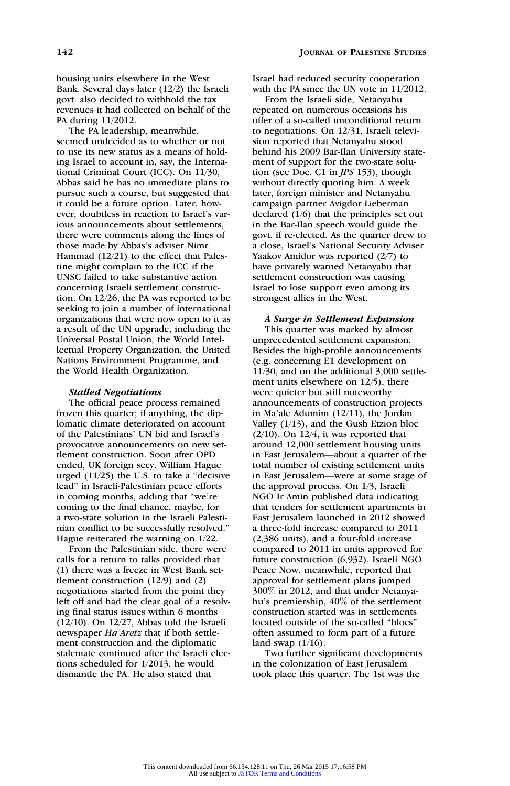housing units elsewhere in the West Bank. Several days later (12/2) the Israeli govt. also decided to withhold the tax revenues it had collected on behalf of the PA during 11/2012.

The PA leadership, meanwhile, seemed undecided as to whether or not to use its new status as a means of holding Israel to account in, say, the International Criminal Court (ICC). On 11/30, Abbas said he has no immediate plans to pursue such a course, but suggested that it could be a future option. Later, however, doubtless in reaction to Israel's various announcements about settlements, there were comments along the lines of those made by Abbas's adviser Nimr Hammad (12/21) to the effect that Palestine might complain to the ICC if the UNSC failed to take substantive action concerning Israeli settlement construction. On 12/26, the PA was reported to be seeking to join a number of international organizations that were now open to it as a result of the UN upgrade, including the Universal Postal Union, the World Intellectual Property Organization, the United Nations Environment Programme, and the World Health Organization.

#### Stalled Negotiations

The official peace process remained frozen this quarter; if anything, the diplomatic climate deteriorated on account of the Palestinians' UN bid and Israel's provocative announcements on new settlement construction. Soon after OPD ended, UK foreign secy. William Hague urged  $(11/25)$  the U.S. to take a "decisive" lead'' in Israeli-Palestinian peace efforts in coming months, adding that ''we're coming to the final chance, maybe, for a two-state solution in the Israeli Palestinian conflict to be successfully resolved.'' Hague reiterated the warning on 1/22.

From the Palestinian side, there were calls for a return to talks provided that (1) there was a freeze in West Bank settlement construction (12/9) and (2) negotiations started from the point they left off and had the clear goal of a resolving final status issues within 6 months (12/10). On 12/27, Abbas told the Israeli newspaper Ha'Aretz that if both settlement construction and the diplomatic stalemate continued after the Israeli elections scheduled for 1/2013, he would dismantle the PA. He also stated that

Israel had reduced security cooperation with the PA since the UN vote in 11/2012.

From the Israeli side, Netanyahu repeated on numerous occasions his offer of a so-called unconditional return to negotiations. On 12/31, Israeli television reported that Netanyahu stood behind his 2009 Bar-Ilan University statement of support for the two-state solution (see Doc. C1 in JPS 153), though without directly quoting him. A week later, foreign minister and Netanyahu campaign partner Avigdor Lieberman declared (1/6) that the principles set out in the Bar-Ilan speech would guide the govt. if re-elected. As the quarter drew to a close, Israel's National Security Adviser Yaakov Amidor was reported (2/7) to have privately warned Netanyahu that settlement construction was causing Israel to lose support even among its strongest allies in the West.

A Surge in Settlement Expansion This quarter was marked by almost unprecedented settlement expansion. Besides the high-profile announcements (e.g. concerning E1 development on 11/30, and on the additional 3,000 settlement units elsewhere on 12/5), there were quieter but still noteworthy announcements of construction projects in Ma'ale Adumim (12/11), the Jordan Valley (1/13), and the Gush Etzion bloc  $(2/10)$ . On  $12/4$ , it was reported that around 12,000 settlement housing units in East Jerusalem—about a quarter of the total number of existing settlement units in East Jerusalem—were at some stage of the approval process. On 1/3, Israeli NGO Ir Amin published data indicating that tenders for settlement apartments in East Jerusalem launched in 2012 showed a three-fold increase compared to 2011 (2,386 units), and a four-fold increase compared to 2011 in units approved for future construction (6,932). Israeli NGO Peace Now, meanwhile, reported that approval for settlement plans jumped 300% in 2012, and that under Netanyahu's premiership, 40% of the settlement construction started was in settlements located outside of the so-called ''blocs'' often assumed to form part of a future land swap  $(1/16)$ .

Two further significant developments in the colonization of East Jerusalem took place this quarter. The 1st was the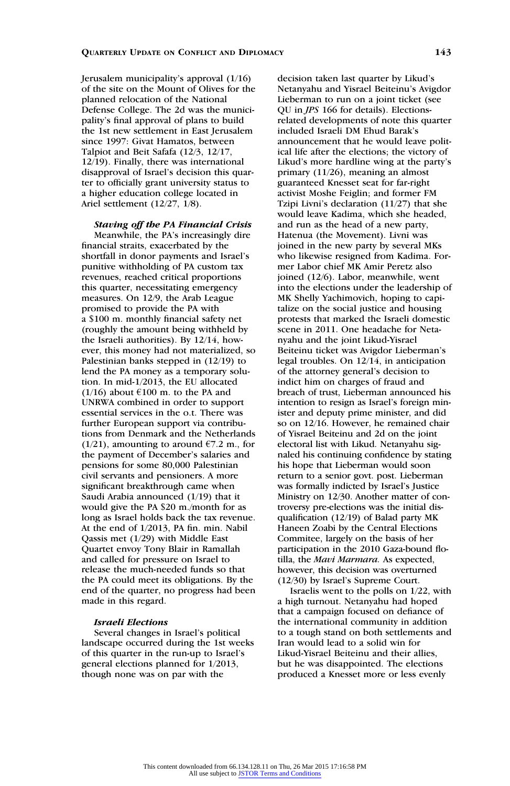Jerusalem municipality's approval (1/16) of the site on the Mount of Olives for the planned relocation of the National Defense College. The 2d was the municipality's final approval of plans to build the 1st new settlement in East Jerusalem since 1997: Givat Hamatos, between Talpiot and Beit Safafa (12/3, 12/17, 12/19). Finally, there was international disapproval of Israel's decision this quarter to officially grant university status to a higher education college located in Ariel settlement (12/27, 1/8).

Staving off the PA Financial Crisis Meanwhile, the PA's increasingly dire financial straits, exacerbated by the shortfall in donor payments and Israel's punitive withholding of PA custom tax revenues, reached critical proportions this quarter, necessitating emergency measures. On 12/9, the Arab League promised to provide the PA with a \$100 m. monthly financial safety net (roughly the amount being withheld by the Israeli authorities). By 12/14, however, this money had not materialized, so Palestinian banks stepped in (12/19) to lend the PA money as a temporary solution. In mid-1/2013, the EU allocated  $(1/16)$  about  $\epsilon$ 100 m. to the PA and UNRWA combined in order to support essential services in the o.t. There was further European support via contributions from Denmark and the Netherlands (1/21), amounting to around  $\epsilon$ 7.2 m., for the payment of December's salaries and pensions for some 80,000 Palestinian civil servants and pensioners. A more significant breakthrough came when Saudi Arabia announced (1/19) that it would give the PA \$20 m./month for as long as Israel holds back the tax revenue. At the end of 1/2013, PA fin. min. Nabil Qassis met (1/29) with Middle East Quartet envoy Tony Blair in Ramallah and called for pressure on Israel to release the much-needed funds so that the PA could meet its obligations. By the end of the quarter, no progress had been made in this regard.

# Israeli Elections

Several changes in Israel's political landscape occurred during the 1st weeks of this quarter in the run-up to Israel's general elections planned for 1/2013, though none was on par with the

decision taken last quarter by Likud's Netanyahu and Yisrael Beiteinu's Avigdor Lieberman to run on a joint ticket (see QU in JPS 166 for details). Electionsrelated developments of note this quarter included Israeli DM Ehud Barak's announcement that he would leave political life after the elections; the victory of Likud's more hardline wing at the party's primary (11/26), meaning an almost guaranteed Knesset seat for far-right activist Moshe Feiglin; and former FM Tzipi Livni's declaration (11/27) that she would leave Kadima, which she headed, and run as the head of a new party, Hatenua (the Movement). Livni was joined in the new party by several MKs who likewise resigned from Kadima. Former Labor chief MK Amir Peretz also joined (12/6). Labor, meanwhile, went into the elections under the leadership of MK Shelly Yachimovich, hoping to capitalize on the social justice and housing protests that marked the Israeli domestic scene in 2011. One headache for Netanyahu and the joint Likud-Yisrael Beiteinu ticket was Avigdor Lieberman's legal troubles. On 12/14, in anticipation of the attorney general's decision to indict him on charges of fraud and breach of trust, Lieberman announced his intention to resign as Israel's foreign minister and deputy prime minister, and did so on 12/16. However, he remained chair of Yisrael Beiteinu and 2d on the joint electoral list with Likud. Netanyahu signaled his continuing confidence by stating his hope that Lieberman would soon return to a senior govt. post. Lieberman was formally indicted by Israel's Justice Ministry on 12/30. Another matter of controversy pre-elections was the initial disqualification (12/19) of Balad party MK Haneen Zoabi by the Central Elections Commitee, largely on the basis of her participation in the 2010 Gaza-bound flotilla, the Mavi Marmara. As expected, however, this decision was overturned (12/30) by Israel's Supreme Court.

Israelis went to the polls on 1/22, with a high turnout. Netanyahu had hoped that a campaign focused on defiance of the international community in addition to a tough stand on both settlements and Iran would lead to a solid win for Likud-Yisrael Beiteinu and their allies, but he was disappointed. The elections produced a Knesset more or less evenly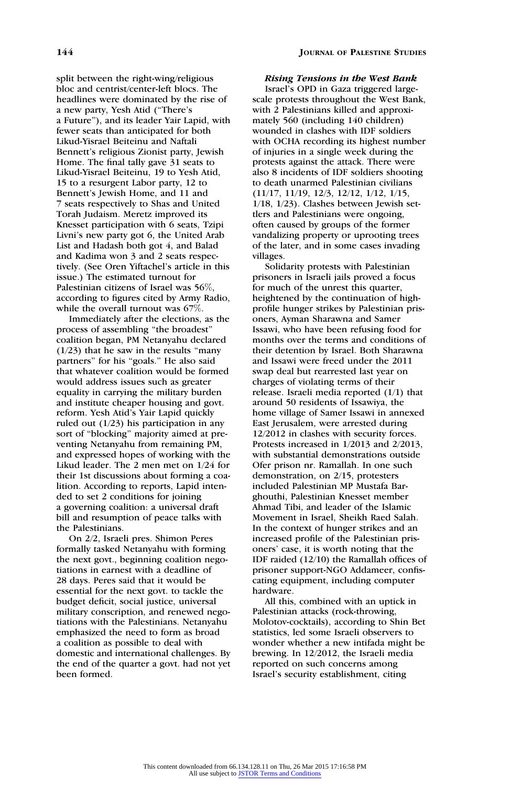split between the right-wing/religious bloc and centrist/center-left blocs. The headlines were dominated by the rise of a new party, Yesh Atid (''There's a Future''), and its leader Yair Lapid, with fewer seats than anticipated for both Likud-Yisrael Beiteinu and Naftali Bennett's religious Zionist party, Jewish Home. The final tally gave 31 seats to Likud-Yisrael Beiteinu, 19 to Yesh Atid, 15 to a resurgent Labor party, 12 to Bennett's Jewish Home, and 11 and 7 seats respectively to Shas and United Torah Judaism. Meretz improved its Knesset participation with 6 seats, Tzipi Livni's new party got 6, the United Arab List and Hadash both got 4, and Balad and Kadima won 3 and 2 seats respectively. (See Oren Yiftachel's article in this issue.) The estimated turnout for Palestinian citizens of Israel was 56%, according to figures cited by Army Radio, while the overall turnout was 67%.

Immediately after the elections, as the process of assembling ''the broadest'' coalition began, PM Netanyahu declared  $(1/23)$  that he saw in the results "many" partners" for his "goals." He also said that whatever coalition would be formed would address issues such as greater equality in carrying the military burden and institute cheaper housing and govt. reform. Yesh Atid's Yair Lapid quickly ruled out (1/23) his participation in any sort of "blocking" majority aimed at preventing Netanyahu from remaining PM, and expressed hopes of working with the Likud leader. The 2 men met on 1/24 for their 1st discussions about forming a coalition. According to reports, Lapid intended to set 2 conditions for joining a governing coalition: a universal draft bill and resumption of peace talks with the Palestinians.

On 2/2, Israeli pres. Shimon Peres formally tasked Netanyahu with forming the next govt., beginning coalition negotiations in earnest with a deadline of 28 days. Peres said that it would be essential for the next govt. to tackle the budget deficit, social justice, universal military conscription, and renewed negotiations with the Palestinians. Netanyahu emphasized the need to form as broad a coalition as possible to deal with domestic and international challenges. By the end of the quarter a govt. had not yet been formed.

# Rising Tensions in the West Bank

Israel's OPD in Gaza triggered largescale protests throughout the West Bank, with 2 Palestinians killed and approximately 560 (including 140 children) wounded in clashes with IDF soldiers with OCHA recording its highest number of injuries in a single week during the protests against the attack. There were also 8 incidents of IDF soldiers shooting to death unarmed Palestinian civilians (11/17, 11/19, 12/3, 12/12, 1/12, 1/15, 1/18, 1/23). Clashes between Jewish settlers and Palestinians were ongoing, often caused by groups of the former vandalizing property or uprooting trees of the later, and in some cases invading villages.

Solidarity protests with Palestinian prisoners in Israeli jails proved a focus for much of the unrest this quarter, heightened by the continuation of highprofile hunger strikes by Palestinian prisoners, Ayman Sharawna and Samer Issawi, who have been refusing food for months over the terms and conditions of their detention by Israel. Both Sharawna and Issawi were freed under the 2011 swap deal but rearrested last year on charges of violating terms of their release. Israeli media reported (1/1) that around 50 residents of Issawiya, the home village of Samer Issawi in annexed East Jerusalem, were arrested during 12/2012 in clashes with security forces. Protests increased in 1/2013 and 2/2013, with substantial demonstrations outside Ofer prison nr. Ramallah. In one such demonstration, on 2/15, protesters included Palestinian MP Mustafa Barghouthi, Palestinian Knesset member Ahmad Tibi, and leader of the Islamic Movement in Israel, Sheikh Raed Salah. In the context of hunger strikes and an increased profile of the Palestinian prisoners' case, it is worth noting that the IDF raided (12/10) the Ramallah offices of prisoner support-NGO Addameer, confiscating equipment, including computer hardware.

All this, combined with an uptick in Palestinian attacks (rock-throwing, Molotov-cocktails), according to Shin Bet statistics, led some Israeli observers to wonder whether a new intifada might be brewing. In 12/2012, the Israeli media reported on such concerns among Israel's security establishment, citing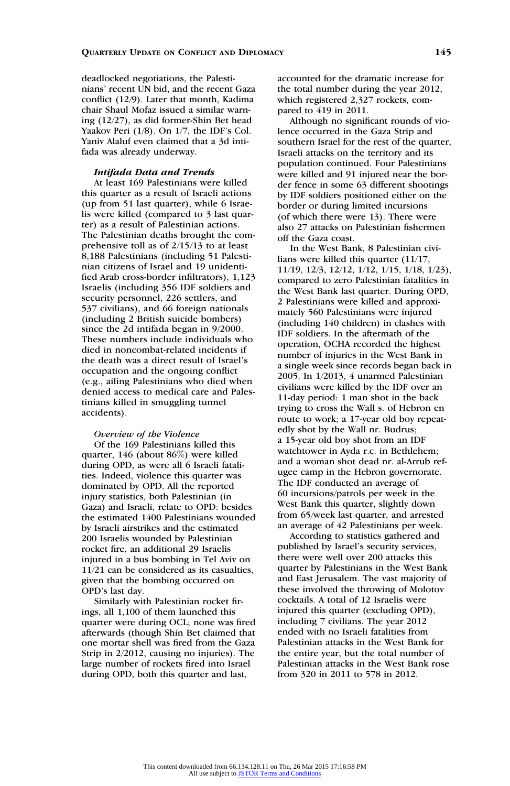deadlocked negotiations, the Palestinians' recent UN bid, and the recent Gaza conflict (12/9). Later that month, Kadima chair Shaul Mofaz issued a similar warning (12/27), as did former-Shin Bet head Yaakov Peri (1/8). On 1/7, the IDF's Col. Yaniv Alaluf even claimed that a 3d intifada was already underway.

#### Intifada Data and Trends

At least 169 Palestinians were killed this quarter as a result of Israeli actions (up from 51 last quarter), while 6 Israelis were killed (compared to 3 last quarter) as a result of Palestinian actions. The Palestinian deaths brought the comprehensive toll as of 2/15/13 to at least 8,188 Palestinians (including 51 Palestinian citizens of Israel and 19 unidentified Arab cross-border infiltrators), 1,123 Israelis (including 356 IDF soldiers and security personnel, 226 settlers, and 537 civilians), and 66 foreign nationals (including 2 British suicide bombers) since the 2d intifada began in 9/2000. These numbers include individuals who died in noncombat-related incidents if the death was a direct result of Israel's occupation and the ongoing conflict (e.g., ailing Palestinians who died when denied access to medical care and Palestinians killed in smuggling tunnel accidents).

# Overview of the Violence

Of the 169 Palestinians killed this quarter, 146 (about 86%) were killed during OPD, as were all 6 Israeli fatalities. Indeed, violence this quarter was dominated by OPD. All the reported injury statistics, both Palestinian (in Gaza) and Israeli, relate to OPD: besides the estimated 1400 Palestinians wounded by Israeli airstrikes and the estimated 200 Israelis wounded by Palestinian rocket fire, an additional 29 Israelis injured in a bus bombing in Tel Aviv on 11/21 can be considered as its casualties, given that the bombing occurred on OPD's last day.

Similarly with Palestinian rocket firings, all 1,100 of them launched this quarter were during OCL; none was fired afterwards (though Shin Bet claimed that one mortar shell was fired from the Gaza Strip in 2/2012, causing no injuries). The large number of rockets fired into Israel during OPD, both this quarter and last,

accounted for the dramatic increase for the total number during the year 2012, which registered 2,327 rockets, compared to 419 in 2011.

Although no significant rounds of violence occurred in the Gaza Strip and southern Israel for the rest of the quarter, Israeli attacks on the territory and its population continued. Four Palestinians were killed and 91 injured near the border fence in some 63 different shootings by IDF soldiers positioned either on the border or during limited incursions (of which there were 13). There were also 27 attacks on Palestinian fishermen off the Gaza coast.

In the West Bank, 8 Palestinian civilians were killed this quarter (11/17, 11/19, 12/3, 12/12, 1/12, 1/15, 1/18, 1/23), compared to zero Palestinian fatalities in the West Bank last quarter. During OPD, 2 Palestinians were killed and approximately 560 Palestinians were injured (including 140 children) in clashes with IDF soldiers. In the aftermath of the operation, OCHA recorded the highest number of injuries in the West Bank in a single week since records began back in 2005. In 1/2013, 4 unarmed Palestinian civilians were killed by the IDF over an 11-day period: 1 man shot in the back trying to cross the Wall s. of Hebron en route to work; a 17-year old boy repeatedly shot by the Wall nr. Budrus; a 15-year old boy shot from an IDF watchtower in Ayda r.c. in Bethlehem; and a woman shot dead nr. al-Arrub refugee camp in the Hebron governorate. The IDF conducted an average of 60 incursions/patrols per week in the West Bank this quarter, slightly down from 65/week last quarter, and arrested an average of 42 Palestinians per week.

According to statistics gathered and published by Israel's security services, there were well over 200 attacks this quarter by Palestinians in the West Bank and East Jerusalem. The vast majority of these involved the throwing of Molotov cocktails. A total of 12 Israelis were injured this quarter (excluding OPD), including 7 civilians. The year 2012 ended with no Israeli fatalities from Palestinian attacks in the West Bank for the entire year, but the total number of Palestinian attacks in the West Bank rose from 320 in 2011 to 578 in 2012.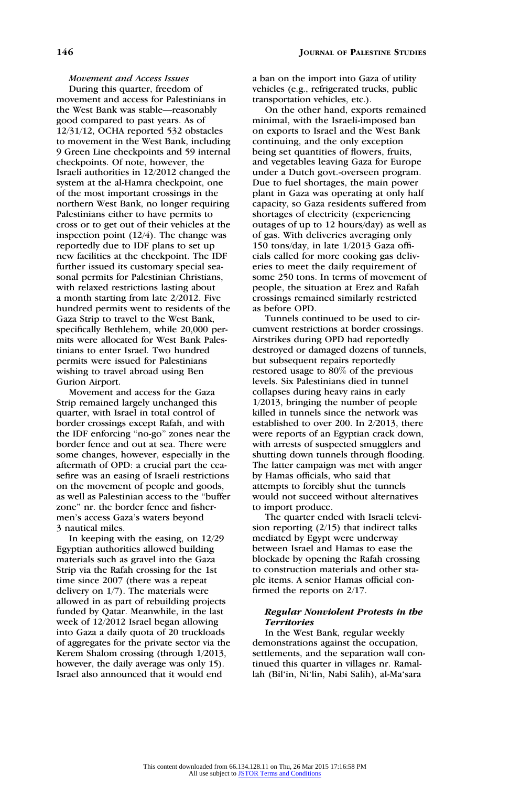Movement and Access Issues

During this quarter, freedom of movement and access for Palestinians in the West Bank was stable—reasonably good compared to past years. As of 12/31/12, OCHA reported 532 obstacles to movement in the West Bank, including 9 Green Line checkpoints and 59 internal checkpoints. Of note, however, the Israeli authorities in 12/2012 changed the system at the al-Hamra checkpoint, one of the most important crossings in the northern West Bank, no longer requiring Palestinians either to have permits to cross or to get out of their vehicles at the inspection point (12/4). The change was reportedly due to IDF plans to set up new facilities at the checkpoint. The IDF further issued its customary special seasonal permits for Palestinian Christians, with relaxed restrictions lasting about a month starting from late 2/2012. Five hundred permits went to residents of the Gaza Strip to travel to the West Bank, specifically Bethlehem, while 20,000 permits were allocated for West Bank Palestinians to enter Israel. Two hundred permits were issued for Palestinians wishing to travel abroad using Ben Gurion Airport.

Movement and access for the Gaza Strip remained largely unchanged this quarter, with Israel in total control of border crossings except Rafah, and with the IDF enforcing ''no-go'' zones near the border fence and out at sea. There were some changes, however, especially in the aftermath of OPD: a crucial part the ceasefire was an easing of Israeli restrictions on the movement of people and goods, as well as Palestinian access to the ''buffer zone'' nr. the border fence and fishermen's access Gaza's waters beyond 3 nautical miles.

In keeping with the easing, on 12/29 Egyptian authorities allowed building materials such as gravel into the Gaza Strip via the Rafah crossing for the 1st time since 2007 (there was a repeat delivery on 1/7). The materials were allowed in as part of rebuilding projects funded by Qatar. Meanwhile, in the last week of 12/2012 Israel began allowing into Gaza a daily quota of 20 truckloads of aggregates for the private sector via the Kerem Shalom crossing (through 1/2013, however, the daily average was only 15). Israel also announced that it would end

a ban on the import into Gaza of utility vehicles (e.g., refrigerated trucks, public transportation vehicles, etc.).

On the other hand, exports remained minimal, with the Israeli-imposed ban on exports to Israel and the West Bank continuing, and the only exception being set quantities of flowers, fruits, and vegetables leaving Gaza for Europe under a Dutch govt.-overseen program. Due to fuel shortages, the main power plant in Gaza was operating at only half capacity, so Gaza residents suffered from shortages of electricity (experiencing outages of up to 12 hours/day) as well as of gas. With deliveries averaging only 150 tons/day, in late 1/2013 Gaza officials called for more cooking gas deliveries to meet the daily requirement of some 250 tons. In terms of movement of people, the situation at Erez and Rafah crossings remained similarly restricted as before OPD.

Tunnels continued to be used to circumvent restrictions at border crossings. Airstrikes during OPD had reportedly destroyed or damaged dozens of tunnels, but subsequent repairs reportedly restored usage to 80% of the previous levels. Six Palestinians died in tunnel collapses during heavy rains in early 1/2013, bringing the number of people killed in tunnels since the network was established to over 200. In 2/2013, there were reports of an Egyptian crack down, with arrests of suspected smugglers and shutting down tunnels through flooding. The latter campaign was met with anger by Hamas officials, who said that attempts to forcibly shut the tunnels would not succeed without alternatives to import produce.

The quarter ended with Israeli television reporting (2/15) that indirect talks mediated by Egypt were underway between Israel and Hamas to ease the blockade by opening the Rafah crossing to construction materials and other staple items. A senior Hamas official confirmed the reports on 2/17.

# Regular Nonviolent Protests in the **Territories**

In the West Bank, regular weekly demonstrations against the occupation, settlements, and the separation wall continued this quarter in villages nr. Ramallah (Bil'in, Ni'lin, Nabi Salih), al-Ma'sara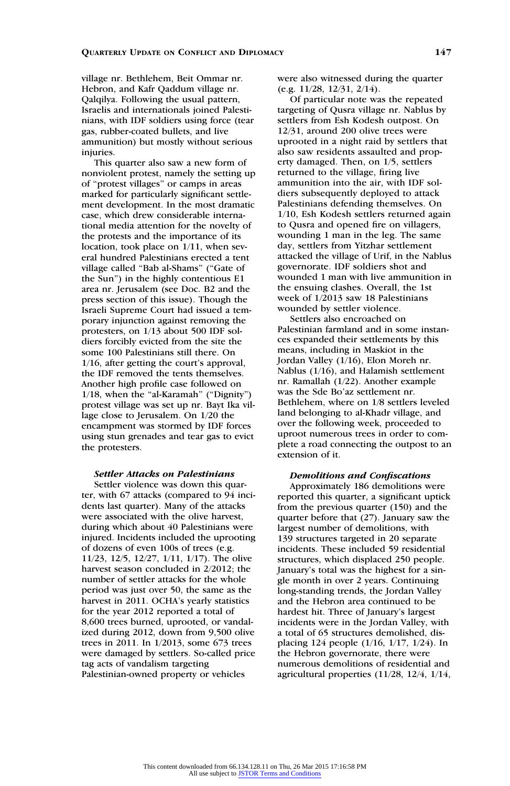village nr. Bethlehem, Beit Ommar nr. Hebron, and Kafr Qaddum village nr. Qalqilya. Following the usual pattern, Israelis and internationals joined Palestinians, with IDF soldiers using force (tear gas, rubber-coated bullets, and live ammunition) but mostly without serious injuries.

This quarter also saw a new form of nonviolent protest, namely the setting up of ''protest villages'' or camps in areas marked for particularly significant settlement development. In the most dramatic case, which drew considerable international media attention for the novelty of the protests and the importance of its location, took place on 1/11, when several hundred Palestinians erected a tent village called ''Bab al-Shams'' (''Gate of the Sun'') in the highly contentious E1 area nr. Jerusalem (see Doc. B2 and the press section of this issue). Though the Israeli Supreme Court had issued a temporary injunction against removing the protesters, on 1/13 about 500 IDF soldiers forcibly evicted from the site the some 100 Palestinians still there. On 1/16, after getting the court's approval, the IDF removed the tents themselves. Another high profile case followed on 1/18, when the "al-Karamah" ("Dignity") protest village was set up nr. Bayt Ika village close to Jerusalem. On 1/20 the encampment was stormed by IDF forces using stun grenades and tear gas to evict the protesters.

#### Settler Attacks on Palestinians

Settler violence was down this quarter, with 67 attacks (compared to 94 incidents last quarter). Many of the attacks were associated with the olive harvest, during which about 40 Palestinians were injured. Incidents included the uprooting of dozens of even 100s of trees (e.g. 11/23, 12/5, 12/27, 1/11, 1/17). The olive harvest season concluded in 2/2012; the number of settler attacks for the whole period was just over 50, the same as the harvest in 2011. OCHA's yearly statistics for the year 2012 reported a total of 8,600 trees burned, uprooted, or vandalized during 2012, down from 9,500 olive trees in 2011. In 1/2013, some 673 trees were damaged by settlers. So-called price tag acts of vandalism targeting Palestinian-owned property or vehicles

were also witnessed during the quarter (e.g. 11/28, 12/31, 2/14).

Of particular note was the repeated targeting of Qusra village nr. Nablus by settlers from Esh Kodesh outpost. On 12/31, around 200 olive trees were uprooted in a night raid by settlers that also saw residents assaulted and property damaged. Then, on 1/5, settlers returned to the village, firing live ammunition into the air, with IDF soldiers subsequently deployed to attack Palestinians defending themselves. On 1/10, Esh Kodesh settlers returned again to Qusra and opened fire on villagers, wounding 1 man in the leg. The same day, settlers from Yitzhar settlement attacked the village of Urif, in the Nablus governorate. IDF soldiers shot and wounded 1 man with live ammunition in the ensuing clashes. Overall, the 1st week of 1/2013 saw 18 Palestinians wounded by settler violence.

Settlers also encroached on Palestinian farmland and in some instances expanded their settlements by this means, including in Maskiot in the Jordan Valley (1/16), Elon Moreh nr. Nablus (1/16), and Halamish settlement nr. Ramallah (1/22). Another example was the Sde Bo'az settlement nr. Bethlehem, where on 1/8 settlers leveled land belonging to al-Khadr village, and over the following week, proceeded to uproot numerous trees in order to complete a road connecting the outpost to an extension of it.

# Demolitions and Confiscations

Approximately 186 demolitions were reported this quarter, a significant uptick from the previous quarter (150) and the quarter before that (27). January saw the largest number of demolitions, with 139 structures targeted in 20 separate incidents. These included 59 residential structures, which displaced 250 people. January's total was the highest for a single month in over 2 years. Continuing long-standing trends, the Jordan Valley and the Hebron area continued to be hardest hit. Three of January's largest incidents were in the Jordan Valley, with a total of 65 structures demolished, displacing 124 people (1/16, 1/17, 1/24). In the Hebron governorate, there were numerous demolitions of residential and agricultural properties (11/28, 12/4, 1/14,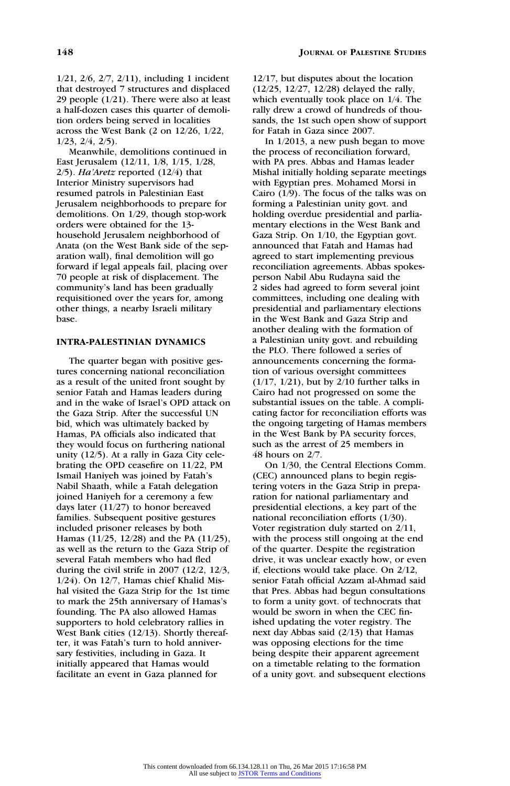1/21, 2/6, 2/7, 2/11), including 1 incident that destroyed 7 structures and displaced 29 people (1/21). There were also at least a half-dozen cases this quarter of demolition orders being served in localities across the West Bank (2 on 12/26, 1/22, 1/23, 2/4, 2/5).

Meanwhile, demolitions continued in East Jerusalem (12/11, 1/8, 1/15, 1/28,  $2/5$ ). Ha'Aretz reported (12/4) that Interior Ministry supervisors had resumed patrols in Palestinian East Jerusalem neighborhoods to prepare for demolitions. On 1/29, though stop-work orders were obtained for the 13 household Jerusalem neighborhood of Anata (on the West Bank side of the separation wall), final demolition will go forward if legal appeals fail, placing over 70 people at risk of displacement. The community's land has been gradually requisitioned over the years for, among other things, a nearby Israeli military base.

# INTRA-PALESTINIAN DYNAMICS

The quarter began with positive gestures concerning national reconciliation as a result of the united front sought by senior Fatah and Hamas leaders during and in the wake of Israel's OPD attack on the Gaza Strip. After the successful UN bid, which was ultimately backed by Hamas, PA officials also indicated that they would focus on furthering national unity (12/5). At a rally in Gaza City celebrating the OPD ceasefire on 11/22, PM Ismail Haniyeh was joined by Fatah's Nabil Shaath, while a Fatah delegation joined Haniyeh for a ceremony a few days later (11/27) to honor bereaved families. Subsequent positive gestures included prisoner releases by both Hamas (11/25, 12/28) and the PA (11/25), as well as the return to the Gaza Strip of several Fatah members who had fled during the civil strife in 2007 (12/2, 12/3, 1/24). On 12/7, Hamas chief Khalid Mishal visited the Gaza Strip for the 1st time to mark the 25th anniversary of Hamas's founding. The PA also allowed Hamas supporters to hold celebratory rallies in West Bank cities (12/13). Shortly thereafter, it was Fatah's turn to hold anniversary festivities, including in Gaza. It initially appeared that Hamas would facilitate an event in Gaza planned for

12/17, but disputes about the location (12/25, 12/27, 12/28) delayed the rally, which eventually took place on 1/4. The rally drew a crowd of hundreds of thousands, the 1st such open show of support for Fatah in Gaza since 2007.

In 1/2013, a new push began to move the process of reconciliation forward, with PA pres. Abbas and Hamas leader Mishal initially holding separate meetings with Egyptian pres. Mohamed Morsi in Cairo (1/9). The focus of the talks was on forming a Palestinian unity govt. and holding overdue presidential and parliamentary elections in the West Bank and Gaza Strip. On 1/10, the Egyptian govt. announced that Fatah and Hamas had agreed to start implementing previous reconciliation agreements. Abbas spokesperson Nabil Abu Rudayna said the 2 sides had agreed to form several joint committees, including one dealing with presidential and parliamentary elections in the West Bank and Gaza Strip and another dealing with the formation of a Palestinian unity govt. and rebuilding the PLO. There followed a series of announcements concerning the formation of various oversight committees (1/17, 1/21), but by 2/10 further talks in Cairo had not progressed on some the substantial issues on the table. A complicating factor for reconciliation efforts was the ongoing targeting of Hamas members in the West Bank by PA security forces, such as the arrest of 25 members in 48 hours on 2/7.

On 1/30, the Central Elections Comm. (CEC) announced plans to begin registering voters in the Gaza Strip in preparation for national parliamentary and presidential elections, a key part of the national reconciliation efforts (1/30). Voter registration duly started on 2/11, with the process still ongoing at the end of the quarter. Despite the registration drive, it was unclear exactly how, or even if, elections would take place. On 2/12, senior Fatah official Azzam al-Ahmad said that Pres. Abbas had begun consultations to form a unity govt. of technocrats that would be sworn in when the CEC finished updating the voter registry. The next day Abbas said (2/13) that Hamas was opposing elections for the time being despite their apparent agreement on a timetable relating to the formation of a unity govt. and subsequent elections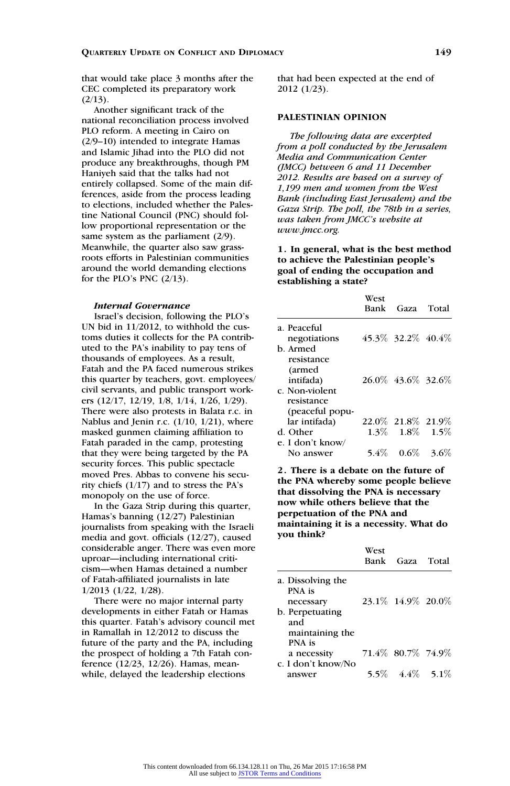that would take place 3 months after the CEC completed its preparatory work  $(2/13)$ .

Another significant track of the national reconciliation process involved PLO reform. A meeting in Cairo on (2/9–10) intended to integrate Hamas and Islamic Jihad into the PLO did not produce any breakthroughs, though PM Haniyeh said that the talks had not entirely collapsed. Some of the main differences, aside from the process leading to elections, included whether the Palestine National Council (PNC) should follow proportional representation or the same system as the parliament  $(2/9)$ . Meanwhile, the quarter also saw grassroots efforts in Palestinian communities around the world demanding elections for the PLO's PNC (2/13).

#### Internal Governance

Israel's decision, following the PLO's UN bid in 11/2012, to withhold the customs duties it collects for the PA contributed to the PA's inability to pay tens of thousands of employees. As a result, Fatah and the PA faced numerous strikes this quarter by teachers, govt. employees/ civil servants, and public transport workers (12/17, 12/19, 1/8, 1/14, 1/26, 1/29). There were also protests in Balata r.c. in Nablus and Jenin r.c. (1/10, 1/21), where masked gunmen claiming affiliation to Fatah paraded in the camp, protesting that they were being targeted by the PA security forces. This public spectacle moved Pres. Abbas to convene his security chiefs (1/17) and to stress the PA's monopoly on the use of force.

In the Gaza Strip during this quarter, Hamas's banning (12/27) Palestinian journalists from speaking with the Israeli media and govt. officials (12/27), caused considerable anger. There was even more uproar—including international criticism—when Hamas detained a number of Fatah-affiliated journalists in late 1/2013 (1/22, 1/28).

There were no major internal party developments in either Fatah or Hamas this quarter. Fatah's advisory council met in Ramallah in 12/2012 to discuss the future of the party and the PA, including the prospect of holding a 7th Fatah conference (12/23, 12/26). Hamas, meanwhile, delayed the leadership elections

that had been expected at the end of 2012 (1/23).

### PALESTINIAN OPINION

The following data are excerpted from a poll conducted by the Jerusalem Media and Communication Center (JMCC) between 6 and 11 December 2012. Results are based on a survey of 1,199 men and women from the West Bank (including East Jerusalem) and the Gaza Strip. The poll, the 78th in a series, was taken from JMCC's website at www.jmcc.org.

1. In general, what is the best method to achieve the Palestinian people's goal of ending the occupation and establishing a state?

|                  | West<br>Bank | Gaza                    | Total   |
|------------------|--------------|-------------------------|---------|
| a. Peaceful      |              |                         |         |
| negotiations     |              | 45.3\% 32.2\% 40.4\%    |         |
| b. Armed         |              |                         |         |
| resistance       |              |                         |         |
| (armed           |              |                         |         |
| intifada)        |              | 26.0\% 43.6\% 32.6\%    |         |
| c. Non-violent   |              |                         |         |
| resistance       |              |                         |         |
| (peaceful popu-  |              |                         |         |
| lar intifada)    |              | 22.0\% 21.8\% 21.9\%    |         |
| d. Other         |              | $1.3\%$ $1.8\%$ $1.5\%$ |         |
| e. I don't know/ |              |                         |         |
| No answer        | $5.4\%$      | $0.6\%$                 | $3.6\%$ |

2. There is a debate on the future of the PNA whereby some people believe that dissolving the PNA is necessary now while others believe that the perpetuation of the PNA and maintaining it is a necessity. What do you think?

|                                          | West | Bank Gaza Total         |  |
|------------------------------------------|------|-------------------------|--|
| a. Dissolving the<br>PNA is<br>necessary |      | 23.1\% 14.9\% 20.0\%    |  |
| b. Perpetuating<br>and                   |      |                         |  |
| maintaining the<br>PNA is                |      |                         |  |
| a necessity<br>c. I don't know/No        |      | 71.4% 80.7% 74.9%       |  |
| answer                                   |      | $5.5\%$ $4.4\%$ $5.1\%$ |  |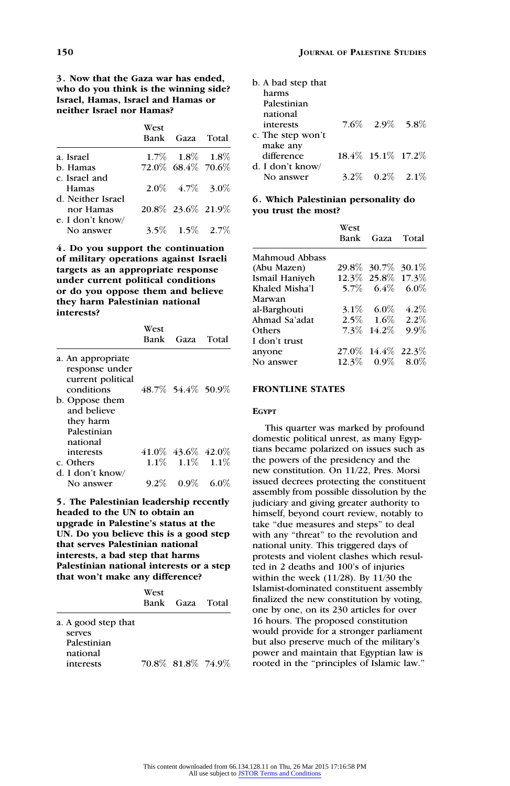3. Now that the Gaza war has ended, who do you think is the winning side? Israel, Hamas, Israel and Hamas or neither Israel nor Hamas?

|                   | West | Bank Gaza Total         |  |
|-------------------|------|-------------------------|--|
| a. Israel         |      | $1.7\%$ $1.8\%$ $1.8\%$ |  |
| b. Hamas          |      | 72.0% 68.4% 70.6%       |  |
| c. Israel and     |      |                         |  |
| Hamas             |      | $2.0\%$ 4.7\% 3.0\%     |  |
| d. Neither Israel |      |                         |  |
| nor Hamas         |      | 20.8\% 23.6\% 21.9\%    |  |
| e. I don't know/  |      |                         |  |
| No answer         |      | $3.5\%$ $1.5\%$ $2.7\%$ |  |

4. Do you support the continuation of military operations against Israeli targets as an appropriate response under current political conditions or do you oppose them and believe they harm Palestinian national interests?

|                                                                                                                                                 | West<br>Bank | Gaza Total                 |  |
|-------------------------------------------------------------------------------------------------------------------------------------------------|--------------|----------------------------|--|
| a. An appropriate<br>response under<br>current political<br>conditions<br>b. Oppose them<br>and believe<br>they harm<br>Palestinian<br>national |              | 48.7\% 54.4\% 50.9\%       |  |
| interests                                                                                                                                       |              | $41.0\%$ $43.6\%$ $42.0\%$ |  |
| c. Others                                                                                                                                       |              | $1.1\%$ $1.1\%$ $1.1\%$    |  |
| d. I don't know/                                                                                                                                |              |                            |  |
| No answer                                                                                                                                       |              | $9.2\%$ 0.9\% 6.0\%        |  |

5. The Palestinian leadership recently headed to the UN to obtain an upgrade in Palestine's status at the UN. Do you believe this is a good step that serves Palestinian national interests, a bad step that harms Palestinian national interests or a step that won't make any difference?

|                                                                       | West | Bank Gaza Total      |  |
|-----------------------------------------------------------------------|------|----------------------|--|
| a. A good step that<br>serves<br>Palestinian<br>national<br>interests |      | 70.8\% 81.8\% 74.9\% |  |

| b. A bad step that |                      |  |
|--------------------|----------------------|--|
| harms              |                      |  |
| Palestinian        |                      |  |
| national           |                      |  |
| interests          | $7.6\%$ 2.9% 5.8%    |  |
| c. The step won't  |                      |  |
| make any           |                      |  |
| difference         | 18.4\% 15.1\% 17.2\% |  |
| d. I don't know/   |                      |  |
| No answer          | 3.2\% $0.2\%$ 2.1\%  |  |

# 6. Which Palestinian personality do you trust the most?

|                | West | Bank Gaza Total      |         |
|----------------|------|----------------------|---------|
| Mahmoud Abbass |      |                      |         |
| (Abu Mazen)    |      | 29.8% 30.7% 30.1%    |         |
| Ismail Haniyeh |      | 12.3\% 25.8\% 17.3\% |         |
| Khaled Misha'l |      | 5.7\% 6.4\% 6.0\%    |         |
| Marwan         |      |                      |         |
| al-Barghouti   |      | 3.1\% 6.0\%          | $4.2\%$ |
| Ahmad Sa'adat  |      | $2.5\%$ 1.6%         | $2.2\%$ |
| Others         |      | 7.3\% 14.2\%         | $9.9\%$ |
| I don't trust  |      |                      |         |
| anvone         |      | 27.0\% 14.4\% 22.3\% |         |
| No answer      |      | $12.3\%$ 0.9% 8.0%   |         |
|                |      |                      |         |

# FRONTLINE STATES

#### EGYPT

This quarter was marked by profound domestic political unrest, as many Egyptians became polarized on issues such as the powers of the presidency and the new constitution. On 11/22, Pres. Morsi issued decrees protecting the constituent assembly from possible dissolution by the judiciary and giving greater authority to himself, beyond court review, notably to take ''due measures and steps'' to deal with any "threat" to the revolution and national unity. This triggered days of protests and violent clashes which resulted in 2 deaths and 100's of injuries within the week (11/28). By 11/30 the Islamist-dominated constituent assembly finalized the new constitution by voting, one by one, on its 230 articles for over 16 hours. The proposed constitution would provide for a stronger parliament but also preserve much of the military's power and maintain that Egyptian law is rooted in the ''principles of Islamic law.''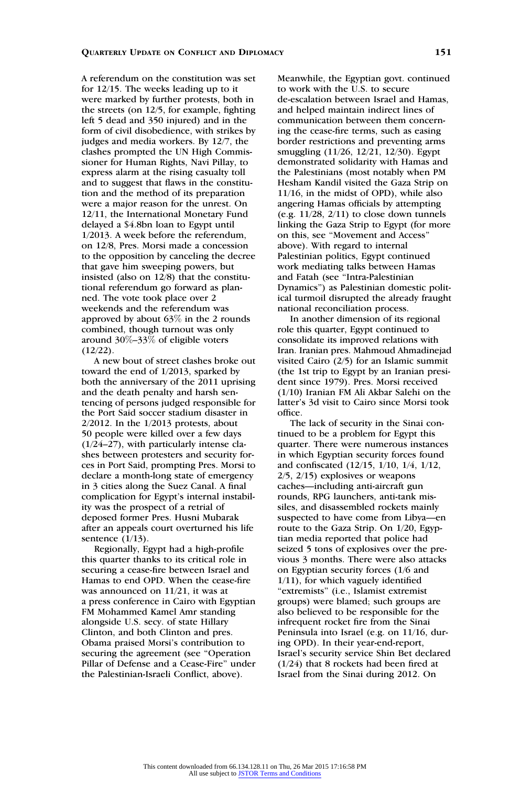#### QUARTERLY UPDATE ON CONFLICT AND DIPLOMACY 151

A referendum on the constitution was set for 12/15. The weeks leading up to it were marked by further protests, both in the streets (on 12/5, for example, fighting left 5 dead and 350 injured) and in the form of civil disobedience, with strikes by judges and media workers. By 12/7, the clashes prompted the UN High Commissioner for Human Rights, Navi Pillay, to express alarm at the rising casualty toll and to suggest that flaws in the constitution and the method of its preparation were a major reason for the unrest. On 12/11, the International Monetary Fund delayed a \$4.8bn loan to Egypt until 1/2013. A week before the referendum, on 12/8, Pres. Morsi made a concession to the opposition by canceling the decree that gave him sweeping powers, but insisted (also on 12/8) that the constitutional referendum go forward as planned. The vote took place over 2 weekends and the referendum was approved by about 63% in the 2 rounds combined, though turnout was only around 30%–33% of eligible voters  $(12/22)$ .

A new bout of street clashes broke out toward the end of 1/2013, sparked by both the anniversary of the 2011 uprising and the death penalty and harsh sentencing of persons judged responsible for the Port Said soccer stadium disaster in 2/2012. In the 1/2013 protests, about 50 people were killed over a few days (1/24–27), with particularly intense clashes between protesters and security forces in Port Said, prompting Pres. Morsi to declare a month-long state of emergency in 3 cities along the Suez Canal. A final complication for Egypt's internal instability was the prospect of a retrial of deposed former Pres. Husni Mubarak after an appeals court overturned his life sentence (1/13).

Regionally, Egypt had a high-profile this quarter thanks to its critical role in securing a cease-fire between Israel and Hamas to end OPD. When the cease-fire was announced on 11/21, it was at a press conference in Cairo with Egyptian FM Mohammed Kamel Amr standing alongside U.S. secy. of state Hillary Clinton, and both Clinton and pres. Obama praised Morsi's contribution to securing the agreement (see "Operation Pillar of Defense and a Cease-Fire'' under the Palestinian-Israeli Conflict, above).

Meanwhile, the Egyptian govt. continued to work with the U.S. to secure de-escalation between Israel and Hamas, and helped maintain indirect lines of communication between them concerning the cease-fire terms, such as easing border restrictions and preventing arms smuggling (11/26, 12/21, 12/30). Egypt demonstrated solidarity with Hamas and the Palestinians (most notably when PM Hesham Kandil visited the Gaza Strip on 11/16, in the midst of OPD), while also angering Hamas officials by attempting (e.g.  $11/28$ ,  $2/11$ ) to close down tunnels linking the Gaza Strip to Egypt (for more on this, see ''Movement and Access'' above). With regard to internal Palestinian politics, Egypt continued work mediating talks between Hamas and Fatah (see ''Intra-Palestinian Dynamics'') as Palestinian domestic political turmoil disrupted the already fraught national reconciliation process.

In another dimension of its regional role this quarter, Egypt continued to consolidate its improved relations with Iran. Iranian pres. Mahmoud Ahmadinejad visited Cairo (2/5) for an Islamic summit (the 1st trip to Egypt by an Iranian president since 1979). Pres. Morsi received (1/10) Iranian FM Ali Akbar Salehi on the latter's 3d visit to Cairo since Morsi took office.

The lack of security in the Sinai continued to be a problem for Egypt this quarter. There were numerous instances in which Egyptian security forces found and confiscated (12/15, 1/10, 1/4, 1/12, 2/5, 2/15) explosives or weapons caches—including anti-aircraft gun rounds, RPG launchers, anti-tank missiles, and disassembled rockets mainly suspected to have come from Libya—en route to the Gaza Strip. On 1/20, Egyptian media reported that police had seized 5 tons of explosives over the previous 3 months. There were also attacks on Egyptian security forces (1/6 and 1/11), for which vaguely identified "extremists" (i.e., Islamist extremist groups) were blamed; such groups are also believed to be responsible for the infrequent rocket fire from the Sinai Peninsula into Israel (e.g. on 11/16, during OPD). In their year-end-report, Israel's security service Shin Bet declared (1/24) that 8 rockets had been fired at Israel from the Sinai during 2012. On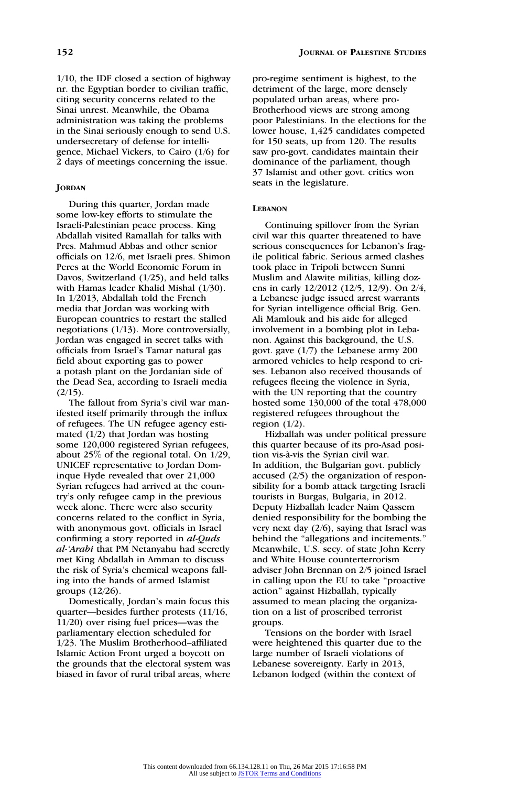1/10, the IDF closed a section of highway nr. the Egyptian border to civilian traffic, citing security concerns related to the Sinai unrest. Meanwhile, the Obama administration was taking the problems in the Sinai seriously enough to send U.S. undersecretary of defense for intelligence, Michael Vickers, to Cairo (1/6) for 2 days of meetings concerning the issue.

#### **JORDAN**

During this quarter, Jordan made some low-key efforts to stimulate the Israeli-Palestinian peace process. King Abdallah visited Ramallah for talks with Pres. Mahmud Abbas and other senior officials on 12/6, met Israeli pres. Shimon Peres at the World Economic Forum in Davos, Switzerland (1/25), and held talks with Hamas leader Khalid Mishal (1/30). In 1/2013, Abdallah told the French media that Jordan was working with European countries to restart the stalled negotiations (1/13). More controversially, Jordan was engaged in secret talks with officials from Israel's Tamar natural gas field about exporting gas to power a potash plant on the Jordanian side of the Dead Sea, according to Israeli media  $(2/15)$ .

The fallout from Syria's civil war manifested itself primarily through the influx of refugees. The UN refugee agency estimated (1/2) that Jordan was hosting some 120,000 registered Syrian refugees, about 25% of the regional total. On 1/29, UNICEF representative to Jordan Dominque Hyde revealed that over 21,000 Syrian refugees had arrived at the country's only refugee camp in the previous week alone. There were also security concerns related to the conflict in Syria, with anonymous govt. officials in Israel confirming a story reported in al-Quds al-'Arabi that PM Netanyahu had secretly met King Abdallah in Amman to discuss the risk of Syria's chemical weapons falling into the hands of armed Islamist groups (12/26).

Domestically, Jordan's main focus this quarter—besides further protests (11/16, 11/20) over rising fuel prices—was the parliamentary election scheduled for 1/23. The Muslim Brotherhood–affiliated Islamic Action Front urged a boycott on the grounds that the electoral system was biased in favor of rural tribal areas, where pro-regime sentiment is highest, to the detriment of the large, more densely populated urban areas, where pro-Brotherhood views are strong among poor Palestinians. In the elections for the lower house, 1,425 candidates competed for 150 seats, up from 120. The results saw pro-govt. candidates maintain their dominance of the parliament, though 37 Islamist and other govt. critics won seats in the legislature.

#### **LEBANON**

Continuing spillover from the Syrian civil war this quarter threatened to have serious consequences for Lebanon's fragile political fabric. Serious armed clashes took place in Tripoli between Sunni Muslim and Alawite militias, killing dozens in early 12/2012 (12/5, 12/9). On 2/4, a Lebanese judge issued arrest warrants for Syrian intelligence official Brig. Gen. Ali Mamlouk and his aide for alleged involvement in a bombing plot in Lebanon. Against this background, the U.S. govt. gave (1/7) the Lebanese army 200 armored vehicles to help respond to crises. Lebanon also received thousands of refugees fleeing the violence in Syria, with the UN reporting that the country hosted some 130,000 of the total 478,000 registered refugees throughout the region  $(1/2)$ .

Hizballah was under political pressure this quarter because of its pro-Asad position vis-à-vis the Syrian civil war. In addition, the Bulgarian govt. publicly accused (2/5) the organization of responsibility for a bomb attack targeting Israeli tourists in Burgas, Bulgaria, in 2012. Deputy Hizballah leader Naim Qassem denied responsibility for the bombing the very next day (2/6), saying that Israel was behind the ''allegations and incitements.'' Meanwhile, U.S. secy. of state John Kerry and White House counterterrorism adviser John Brennan on 2/5 joined Israel in calling upon the EU to take ''proactive action'' against Hizballah, typically assumed to mean placing the organization on a list of proscribed terrorist groups.

Tensions on the border with Israel were heightened this quarter due to the large number of Israeli violations of Lebanese sovereignty. Early in 2013, Lebanon lodged (within the context of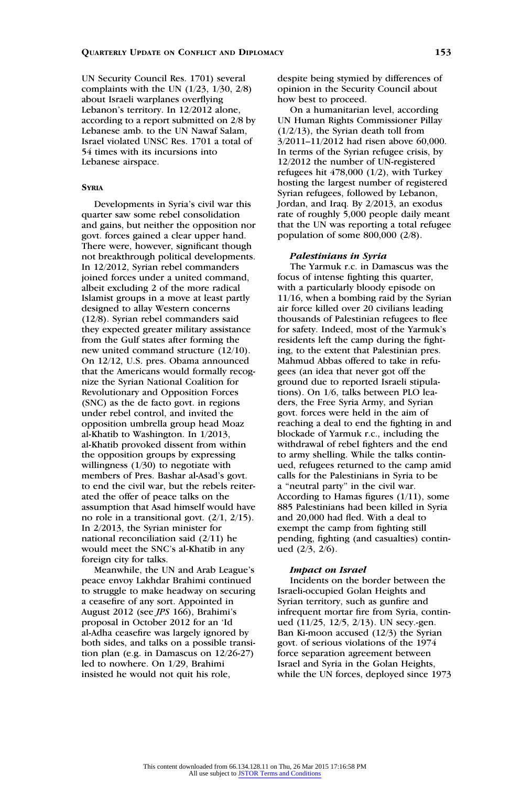UN Security Council Res. 1701) several complaints with the UN (1/23, 1/30, 2/8) about Israeli warplanes overflying Lebanon's territory. In 12/2012 alone, according to a report submitted on 2/8 by Lebanese amb. to the UN Nawaf Salam, Israel violated UNSC Res. 1701 a total of 54 times with its incursions into Lebanese airspace.

# **SYRIA**

Developments in Syria's civil war this quarter saw some rebel consolidation and gains, but neither the opposition nor govt. forces gained a clear upper hand. There were, however, significant though not breakthrough political developments. In 12/2012, Syrian rebel commanders joined forces under a united command, albeit excluding 2 of the more radical Islamist groups in a move at least partly designed to allay Western concerns (12/8). Syrian rebel commanders said they expected greater military assistance from the Gulf states after forming the new united command structure (12/10). On 12/12, U.S. pres. Obama announced that the Americans would formally recognize the Syrian National Coalition for Revolutionary and Opposition Forces (SNC) as the de facto govt. in regions under rebel control, and invited the opposition umbrella group head Moaz al-Khatib to Washington. In 1/2013, al-Khatib provoked dissent from within the opposition groups by expressing willingness (1/30) to negotiate with members of Pres. Bashar al-Asad's govt. to end the civil war, but the rebels reiterated the offer of peace talks on the assumption that Asad himself would have no role in a transitional govt. (2/1, 2/15). In 2/2013, the Syrian minister for national reconciliation said (2/11) he would meet the SNC's al-Khatib in any foreign city for talks.

Meanwhile, the UN and Arab League's peace envoy Lakhdar Brahimi continued to struggle to make headway on securing a ceasefire of any sort. Appointed in August 2012 (see JPS 166), Brahimi's proposal in October 2012 for an 'Id al-Adha ceasefire was largely ignored by both sides, and talks on a possible transition plan (e.g. in Damascus on 12/26-27) led to nowhere. On 1/29, Brahimi insisted he would not quit his role,

despite being stymied by differences of opinion in the Security Council about how best to proceed.

On a humanitarian level, according UN Human Rights Commissioner Pillay  $(1/2/13)$ , the Syrian death toll from 3/2011–11/2012 had risen above 60,000. In terms of the Syrian refugee crisis, by 12/2012 the number of UN-registered refugees hit 478,000 (1/2), with Turkey hosting the largest number of registered Syrian refugees, followed by Lebanon, Jordan, and Iraq. By 2/2013, an exodus rate of roughly 5,000 people daily meant that the UN was reporting a total refugee population of some 800,000 (2/8).

#### Palestinians in Syria

The Yarmuk r.c. in Damascus was the focus of intense fighting this quarter, with a particularly bloody episode on 11/16, when a bombing raid by the Syrian air force killed over 20 civilians leading thousands of Palestinian refugees to flee for safety. Indeed, most of the Yarmuk's residents left the camp during the fighting, to the extent that Palestinian pres. Mahmud Abbas offered to take in refugees (an idea that never got off the ground due to reported Israeli stipulations). On 1/6, talks between PLO leaders, the Free Syria Army, and Syrian govt. forces were held in the aim of reaching a deal to end the fighting in and blockade of Yarmuk r.c., including the withdrawal of rebel fighters and the end to army shelling. While the talks continued, refugees returned to the camp amid calls for the Palestinians in Syria to be a ''neutral party'' in the civil war. According to Hamas figures (1/11), some 885 Palestinians had been killed in Syria and 20,000 had fled. With a deal to exempt the camp from fighting still pending, fighting (and casualties) continued (2/3, 2/6).

#### Impact on Israel

Incidents on the border between the Israeli-occupied Golan Heights and Syrian territory, such as gunfire and infrequent mortar fire from Syria, continued (11/25, 12/5, 2/13). UN secy.-gen. Ban Ki-moon accused (12/3) the Syrian govt. of serious violations of the 1974 force separation agreement between Israel and Syria in the Golan Heights, while the UN forces, deployed since 1973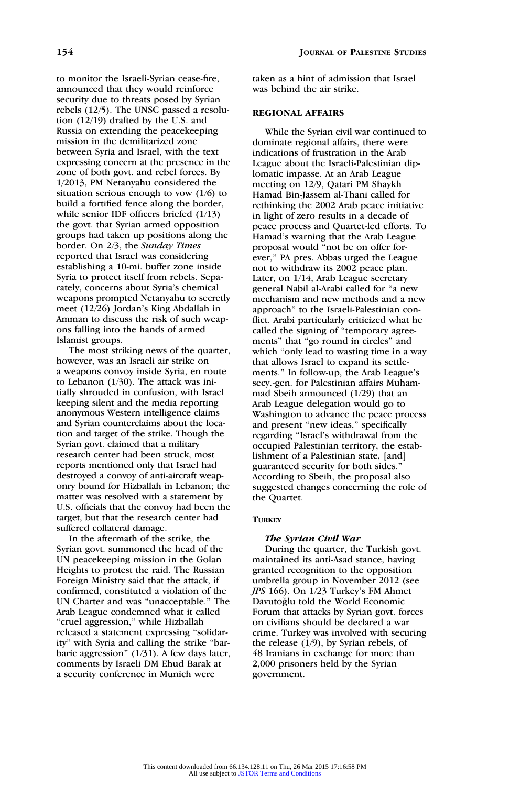to monitor the Israeli-Syrian cease-fire, announced that they would reinforce security due to threats posed by Syrian rebels (12/5). The UNSC passed a resolution (12/19) drafted by the U.S. and Russia on extending the peacekeeping mission in the demilitarized zone between Syria and Israel, with the text expressing concern at the presence in the zone of both govt. and rebel forces. By 1/2013, PM Netanyahu considered the situation serious enough to vow (1/6) to build a fortified fence along the border, while senior IDF officers briefed (1/13) the govt. that Syrian armed opposition groups had taken up positions along the border. On 2/3, the Sunday Times reported that Israel was considering establishing a 10-mi. buffer zone inside Syria to protect itself from rebels. Separately, concerns about Syria's chemical weapons prompted Netanyahu to secretly meet (12/26) Jordan's King Abdallah in Amman to discuss the risk of such weapons falling into the hands of armed Islamist groups.

The most striking news of the quarter, however, was an Israeli air strike on a weapons convoy inside Syria, en route to Lebanon (1/30). The attack was initially shrouded in confusion, with Israel keeping silent and the media reporting anonymous Western intelligence claims and Syrian counterclaims about the location and target of the strike. Though the Syrian govt. claimed that a military research center had been struck, most reports mentioned only that Israel had destroyed a convoy of anti-aircraft weaponry bound for Hizballah in Lebanon; the matter was resolved with a statement by U.S. officials that the convoy had been the target, but that the research center had suffered collateral damage.

In the aftermath of the strike, the Syrian govt. summoned the head of the UN peacekeeping mission in the Golan Heights to protest the raid. The Russian Foreign Ministry said that the attack, if confirmed, constituted a violation of the UN Charter and was ''unacceptable.'' The Arab League condemned what it called ''cruel aggression,'' while Hizballah released a statement expressing ''solidarity'' with Syria and calling the strike ''barbaric aggression'' (1/31). A few days later, comments by Israeli DM Ehud Barak at a security conference in Munich were

taken as a hint of admission that Israel was behind the air strike.

# REGIONAL AFFAIRS

While the Syrian civil war continued to dominate regional affairs, there were indications of frustration in the Arab League about the Israeli-Palestinian diplomatic impasse. At an Arab League meeting on 12/9, Qatari PM Shaykh Hamad Bin-Jassem al-Thani called for rethinking the 2002 Arab peace initiative in light of zero results in a decade of peace process and Quartet-led efforts. To Hamad's warning that the Arab League proposal would ''not be on offer forever,'' PA pres. Abbas urged the League not to withdraw its 2002 peace plan. Later, on 1/14, Arab League secretary general Nabil al-Arabi called for ''a new mechanism and new methods and a new approach'' to the Israeli-Palestinian conflict. Arabi particularly criticized what he called the signing of ''temporary agreements'' that ''go round in circles'' and which "only lead to wasting time in a way that allows Israel to expand its settlements.'' In follow-up, the Arab League's secy.-gen. for Palestinian affairs Muhammad Sbeih announced (1/29) that an Arab League delegation would go to Washington to advance the peace process and present "new ideas," specifically regarding ''Israel's withdrawal from the occupied Palestinian territory, the establishment of a Palestinian state, [and] guaranteed security for both sides.'' According to Sbeih, the proposal also suggested changes concerning the role of the Quartet.

### **TURKEY**

#### The Syrian Civil War

During the quarter, the Turkish govt. maintained its anti-Asad stance, having granted recognition to the opposition umbrella group in November 2012 (see JPS 166). On 1/23 Turkey's FM Ahmet Davutoğlu told the World Economic Forum that attacks by Syrian govt. forces on civilians should be declared a war crime. Turkey was involved with securing the release (1/9), by Syrian rebels, of 48 Iranians in exchange for more than 2,000 prisoners held by the Syrian government.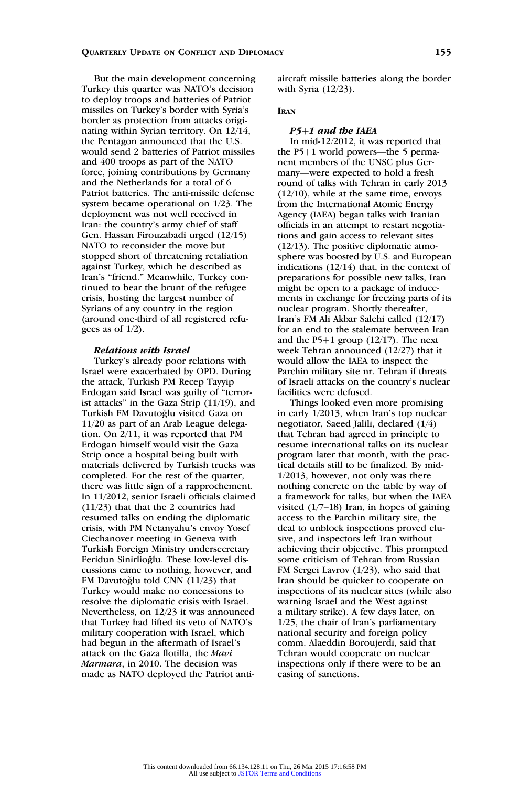But the main development concerning Turkey this quarter was NATO's decision to deploy troops and batteries of Patriot missiles on Turkey's border with Syria's border as protection from attacks originating within Syrian territory. On 12/14, the Pentagon announced that the U.S. would send 2 batteries of Patriot missiles and 400 troops as part of the NATO force, joining contributions by Germany and the Netherlands for a total of 6 Patriot batteries. The anti-missile defense system became operational on 1/23. The deployment was not well received in Iran: the country's army chief of staff Gen. Hassan Firouzabadi urged (12/15) NATO to reconsider the move but stopped short of threatening retaliation against Turkey, which he described as Iran's ''friend.'' Meanwhile, Turkey continued to bear the brunt of the refugee crisis, hosting the largest number of Syrians of any country in the region (around one-third of all registered refugees as of  $1/2$ ).

#### Relations with Israel

Turkey's already poor relations with Israel were exacerbated by OPD. During the attack, Turkish PM Recep Tayyip Erdogan said Israel was guilty of ''terrorist attacks'' in the Gaza Strip (11/19), and Turkish FM Davutoğlu visited Gaza on 11/20 as part of an Arab League delegation. On 2/11, it was reported that PM Erdogan himself would visit the Gaza Strip once a hospital being built with materials delivered by Turkish trucks was completed. For the rest of the quarter, there was little sign of a rapprochement. In 11/2012, senior Israeli officials claimed (11/23) that that the 2 countries had resumed talks on ending the diplomatic crisis, with PM Netanyahu's envoy Yosef Ciechanover meeting in Geneva with Turkish Foreign Ministry undersecretary Feridun Sinirlioğlu. These low-level discussions came to nothing, however, and FM Davutoğlu told CNN (11/23) that Turkey would make no concessions to resolve the diplomatic crisis with Israel. Nevertheless, on 12/23 it was announced that Turkey had lifted its veto of NATO's military cooperation with Israel, which had begun in the aftermath of Israel's attack on the Gaza flotilla, the Mavi Marmara, in 2010. The decision was made as NATO deployed the Patriot antiaircraft missile batteries along the border with Syria (12/23).

# IRAN

# $P5+1$  and the IAEA

In mid-12/2012, it was reported that the  $P5+1$  world powers—the 5 permanent members of the UNSC plus Germany—were expected to hold a fresh round of talks with Tehran in early 2013 (12/10), while at the same time, envoys from the International Atomic Energy Agency (IAEA) began talks with Iranian officials in an attempt to restart negotiations and gain access to relevant sites (12/13). The positive diplomatic atmosphere was boosted by U.S. and European indications (12/14) that, in the context of preparations for possible new talks, Iran might be open to a package of inducements in exchange for freezing parts of its nuclear program. Shortly thereafter, Iran's FM Ali Akbar Salehi called (12/17) for an end to the stalemate between Iran and the P5+1 group  $(12/17)$ . The next week Tehran announced (12/27) that it would allow the IAEA to inspect the Parchin military site nr. Tehran if threats of Israeli attacks on the country's nuclear facilities were defused.

Things looked even more promising in early 1/2013, when Iran's top nuclear negotiator, Saeed Jalili, declared (1/4) that Tehran had agreed in principle to resume international talks on its nuclear program later that month, with the practical details still to be finalized. By mid-1/2013, however, not only was there nothing concrete on the table by way of a framework for talks, but when the IAEA visited  $(1/7-18)$  Iran, in hopes of gaining access to the Parchin military site, the deal to unblock inspections proved elusive, and inspectors left Iran without achieving their objective. This prompted some criticism of Tehran from Russian FM Sergei Lavrov (1/23), who said that Iran should be quicker to cooperate on inspections of its nuclear sites (while also warning Israel and the West against a military strike). A few days later, on 1/25, the chair of Iran's parliamentary national security and foreign policy comm. Alaeddin Boroujerdi, said that Tehran would cooperate on nuclear inspections only if there were to be an easing of sanctions.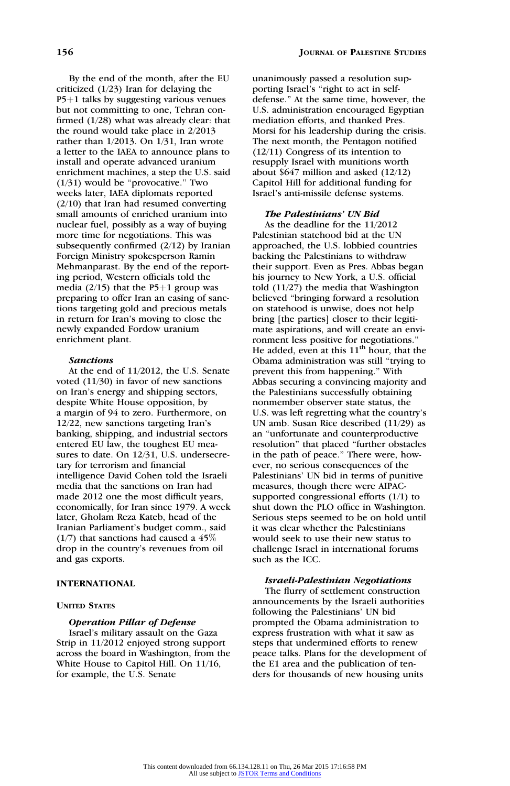By the end of the month, after the EU criticized (1/23) Iran for delaying the  $P5+1$  talks by suggesting various venues but not committing to one, Tehran confirmed (1/28) what was already clear: that the round would take place in 2/2013 rather than 1/2013. On 1/31, Iran wrote a letter to the IAEA to announce plans to install and operate advanced uranium enrichment machines, a step the U.S. said  $(1/31)$  would be "provocative." Two weeks later, IAEA diplomats reported (2/10) that Iran had resumed converting small amounts of enriched uranium into nuclear fuel, possibly as a way of buying more time for negotiations. This was subsequently confirmed (2/12) by Iranian Foreign Ministry spokesperson Ramin Mehmanparast. By the end of the reporting period, Western officials told the media  $(2/15)$  that the P5+1 group was preparing to offer Iran an easing of sanctions targeting gold and precious metals in return for Iran's moving to close the newly expanded Fordow uranium enrichment plant.

#### **Sanctions**

At the end of 11/2012, the U.S. Senate voted (11/30) in favor of new sanctions on Iran's energy and shipping sectors, despite White House opposition, by a margin of 94 to zero. Furthermore, on 12/22, new sanctions targeting Iran's banking, shipping, and industrial sectors entered EU law, the toughest EU measures to date. On 12/31, U.S. undersecretary for terrorism and financial intelligence David Cohen told the Israeli media that the sanctions on Iran had made 2012 one the most difficult years, economically, for Iran since 1979. A week later, Gholam Reza Kateb, head of the Iranian Parliament's budget comm., said  $(1/7)$  that sanctions had caused a 45% drop in the country's revenues from oil and gas exports.

# INTERNATIONAL

#### UNITED STATES

# Operation Pillar of Defense

Israel's military assault on the Gaza Strip in 11/2012 enjoyed strong support across the board in Washington, from the White House to Capitol Hill. On 11/16, for example, the U.S. Senate

unanimously passed a resolution supporting Israel's "right to act in selfdefense.'' At the same time, however, the U.S. administration encouraged Egyptian mediation efforts, and thanked Pres. Morsi for his leadership during the crisis. The next month, the Pentagon notified (12/11) Congress of its intention to resupply Israel with munitions worth about \$647 million and asked (12/12) Capitol Hill for additional funding for Israel's anti-missile defense systems.

#### The Palestinians' UN Bid

As the deadline for the 11/2012 Palestinian statehood bid at the UN approached, the U.S. lobbied countries backing the Palestinians to withdraw their support. Even as Pres. Abbas began his journey to New York, a U.S. official told (11/27) the media that Washington believed ''bringing forward a resolution on statehood is unwise, does not help bring [the parties] closer to their legitimate aspirations, and will create an environment less positive for negotiations.'' He added, even at this  $11<sup>th</sup>$  hour, that the Obama administration was still ''trying to prevent this from happening.'' With Abbas securing a convincing majority and the Palestinians successfully obtaining nonmember observer state status, the U.S. was left regretting what the country's UN amb. Susan Rice described (11/29) as an ''unfortunate and counterproductive resolution'' that placed ''further obstacles in the path of peace.'' There were, however, no serious consequences of the Palestinians' UN bid in terms of punitive measures, though there were AIPACsupported congressional efforts (1/1) to shut down the PLO office in Washington. Serious steps seemed to be on hold until it was clear whether the Palestinians would seek to use their new status to challenge Israel in international forums such as the ICC.

### Israeli-Palestinian Negotiations

The flurry of settlement construction announcements by the Israeli authorities following the Palestinians' UN bid prompted the Obama administration to express frustration with what it saw as steps that undermined efforts to renew peace talks. Plans for the development of the E1 area and the publication of tenders for thousands of new housing units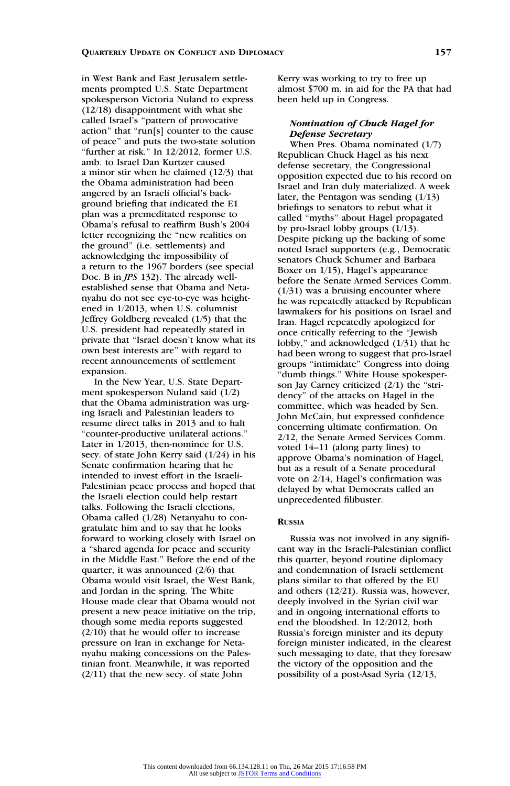in West Bank and East Jerusalem settlements prompted U.S. State Department spokesperson Victoria Nuland to express (12/18) disappointment with what she called Israel's ''pattern of provocative action'' that ''run[s] counter to the cause of peace'' and puts the two-state solution "further at risk." In 12/2012, former U.S. amb. to Israel Dan Kurtzer caused a minor stir when he claimed (12/3) that the Obama administration had been angered by an Israeli official's background briefing that indicated the E1 plan was a premeditated response to Obama's refusal to reaffirm Bush's 2004 letter recognizing the ''new realities on the ground'' (i.e. settlements) and acknowledging the impossibility of a return to the 1967 borders (see special Doc. B in *JPS* 132). The already wellestablished sense that Obama and Netanyahu do not see eye-to-eye was heightened in 1/2013, when U.S. columnist Jeffrey Goldberg revealed (1/5) that the U.S. president had repeatedly stated in private that ''Israel doesn't know what its own best interests are'' with regard to recent announcements of settlement expansion.

In the New Year, U.S. State Department spokesperson Nuland said (1/2) that the Obama administration was urging Israeli and Palestinian leaders to resume direct talks in 2013 and to halt ''counter-productive unilateral actions.'' Later in 1/2013, then-nominee for U.S. secy. of state John Kerry said (1/24) in his Senate confirmation hearing that he intended to invest effort in the Israeli-Palestinian peace process and hoped that the Israeli election could help restart talks. Following the Israeli elections, Obama called (1/28) Netanyahu to congratulate him and to say that he looks forward to working closely with Israel on a ''shared agenda for peace and security in the Middle East.'' Before the end of the quarter, it was announced (2/6) that Obama would visit Israel, the West Bank, and Jordan in the spring. The White House made clear that Obama would not present a new peace initiative on the trip, though some media reports suggested (2/10) that he would offer to increase pressure on Iran in exchange for Netanyahu making concessions on the Palestinian front. Meanwhile, it was reported (2/11) that the new secy. of state John

Kerry was working to try to free up almost \$700 m. in aid for the PA that had been held up in Congress.

# Nomination of Chuck Hagel for Defense Secretary

When Pres. Obama nominated (1/7) Republican Chuck Hagel as his next defense secretary, the Congressional opposition expected due to his record on Israel and Iran duly materialized. A week later, the Pentagon was sending (1/13) briefings to senators to rebut what it called ''myths'' about Hagel propagated by pro-Israel lobby groups (1/13). Despite picking up the backing of some noted Israel supporters (e.g., Democratic senators Chuck Schumer and Barbara Boxer on 1/15), Hagel's appearance before the Senate Armed Services Comm.  $(1/31)$  was a bruising encounter where he was repeatedly attacked by Republican lawmakers for his positions on Israel and Iran. Hagel repeatedly apologized for once critically referring to the ''Jewish lobby,'' and acknowledged (1/31) that he had been wrong to suggest that pro-Israel groups ''intimidate'' Congress into doing ''dumb things.'' White House spokesperson Jay Carney criticized  $(2/1)$  the "stridency'' of the attacks on Hagel in the committee, which was headed by Sen. John McCain, but expressed confidence concerning ultimate confirmation. On 2/12, the Senate Armed Services Comm. voted 14–11 (along party lines) to approve Obama's nomination of Hagel, but as a result of a Senate procedural vote on 2/14, Hagel's confirmation was delayed by what Democrats called an unprecedented filibuster.

# RUSSIA

Russia was not involved in any significant way in the Israeli-Palestinian conflict this quarter, beyond routine diplomacy and condemnation of Israeli settlement plans similar to that offered by the EU and others (12/21). Russia was, however, deeply involved in the Syrian civil war and in ongoing international efforts to end the bloodshed. In 12/2012, both Russia's foreign minister and its deputy foreign minister indicated, in the clearest such messaging to date, that they foresaw the victory of the opposition and the possibility of a post-Asad Syria (12/13,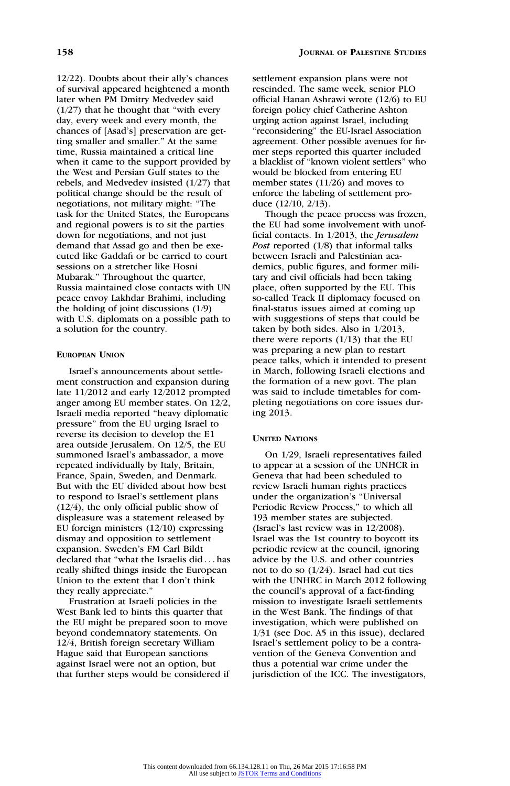12/22). Doubts about their ally's chances of survival appeared heightened a month later when PM Dmitry Medvedev said  $(1/27)$  that he thought that "with every" day, every week and every month, the chances of [Asad's] preservation are getting smaller and smaller.'' At the same time, Russia maintained a critical line when it came to the support provided by the West and Persian Gulf states to the rebels, and Medvedev insisted (1/27) that political change should be the result of negotiations, not military might: ''The task for the United States, the Europeans and regional powers is to sit the parties down for negotiations, and not just demand that Assad go and then be executed like Gaddafi or be carried to court sessions on a stretcher like Hosni Mubarak.'' Throughout the quarter, Russia maintained close contacts with UN peace envoy Lakhdar Brahimi, including the holding of joint discussions (1/9) with U.S. diplomats on a possible path to a solution for the country.

# EUROPEAN UNION

Israel's announcements about settlement construction and expansion during late 11/2012 and early 12/2012 prompted anger among EU member states. On 12/2, Israeli media reported ''heavy diplomatic pressure'' from the EU urging Israel to reverse its decision to develop the E1 area outside Jerusalem. On 12/5, the EU summoned Israel's ambassador, a move repeated individually by Italy, Britain, France, Spain, Sweden, and Denmark. But with the EU divided about how best to respond to Israel's settlement plans (12/4), the only official public show of displeasure was a statement released by EU foreign ministers (12/10) expressing dismay and opposition to settlement expansion. Sweden's FM Carl Bildt declared that ''what the Israelis did ... has really shifted things inside the European Union to the extent that I don't think they really appreciate.''

Frustration at Israeli policies in the West Bank led to hints this quarter that the EU might be prepared soon to move beyond condemnatory statements. On 12/4, British foreign secretary William Hague said that European sanctions against Israel were not an option, but that further steps would be considered if settlement expansion plans were not rescinded. The same week, senior PLO official Hanan Ashrawi wrote (12/6) to EU foreign policy chief Catherine Ashton urging action against Israel, including ''reconsidering'' the EU-Israel Association agreement. Other possible avenues for firmer steps reported this quarter included a blacklist of ''known violent settlers'' who would be blocked from entering EU member states (11/26) and moves to enforce the labeling of settlement produce (12/10, 2/13).

Though the peace process was frozen, the EU had some involvement with unofficial contacts. In 1/2013, the Jerusalem Post reported  $(1/8)$  that informal talks between Israeli and Palestinian academics, public figures, and former military and civil officials had been taking place, often supported by the EU. This so-called Track II diplomacy focused on final-status issues aimed at coming up with suggestions of steps that could be taken by both sides. Also in 1/2013, there were reports  $(1/13)$  that the EU was preparing a new plan to restart peace talks, which it intended to present in March, following Israeli elections and the formation of a new govt. The plan was said to include timetables for completing negotiations on core issues during 2013.

#### UNITED NATIONS

On 1/29, Israeli representatives failed to appear at a session of the UNHCR in Geneva that had been scheduled to review Israeli human rights practices under the organization's ''Universal Periodic Review Process," to which all 193 member states are subjected. (Israel's last review was in 12/2008). Israel was the 1st country to boycott its periodic review at the council, ignoring advice by the U.S. and other countries not to do so (1/24). Israel had cut ties with the UNHRC in March 2012 following the council's approval of a fact-finding mission to investigate Israeli settlements in the West Bank. The findings of that investigation, which were published on 1/31 (see Doc. A5 in this issue), declared Israel's settlement policy to be a contravention of the Geneva Convention and thus a potential war crime under the jurisdiction of the ICC. The investigators,